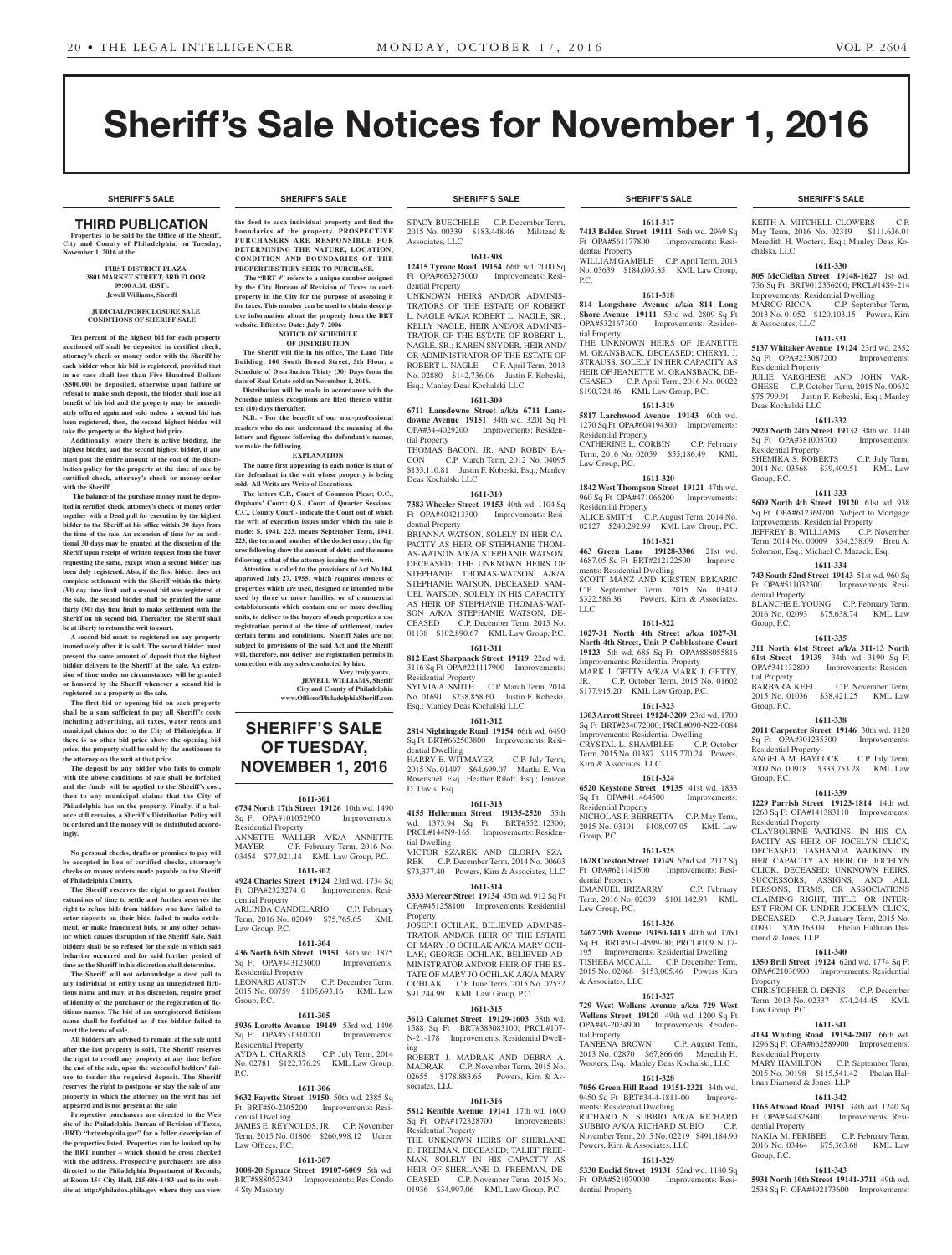**SHERIFF'S SALE SHERIFF'S SALE SHERIFF'S SALE SHERIFF'S SALE SHERIFF'S SALE**

KEITH A. MITCHELL-CLOWERS C.P. May Term, 2016 No. 02319 \$111,636.01 Meredith H. Wooters, Esq.; Manley Deas Ko-

**1611-330 805 McClellan Street 19148-1627** 1st wd. 756 Sq Ft BRT#012356200; PRCL#14S9-214 Improvements: Residential Dwelling MARCO RICCA C.P. September Term, 2013 No. 01052 \$120,103.15 Powers, Kirn

**1611-331 5137 Whitaker Avenue 19124** 23rd wd. 2352

JULIE VARGHESE AND JOHN VAR-GHESE C.P. October Term, 2015 No. 00632 \$75,799.91 Justin F. Kobeski, Esq.; Manley

**1611-332 2920 North 24th Street 19132** 38th wd. 1140 Sq Ft OPA#381003700 Improvements:

SHEMIKA S. ROBERTS C.P. July Term, 2014 No. 03568 \$39,409.51 KML Law

**1611-333 5609 North 4th Street 19120** 61st wd. 938 Sq Ft OPA#612369700 Subject to Mortgage Improvements: Residential Property JEFFREY B. WILLIAMS C.P. November Term, 2014 No. 00009 \$34,258.09 Brett A. Solomon, Esq.; Michael C. Mazack, Esq. **1611-334 743 South 52nd Street 19143** 51st wd. 960 Sq Ft OPA#511032300 Improvements: Resi-

BLANCHE E. YOUNG C.P. February Term, 2016 No. 02093 \$75,638.74 KML Law

**1611-335 311 North 61st Street a/k/a 311-13 North 61st Street 19139** 34th wd. 3190 Sq Ft OPA#341132800 Improvements: Residen-

2015 No. 01036 \$38,421.25 KML Law

**1611-338 2011 Carpenter Street 19146** 30th wd. 1120 Sq Ft OPA#301235300 Improvements:

ANGELA M. BAYLOCK C.P. July Term, 2009 No. 00918 \$333,753.28 KML Law

**1611-339 1229 Parrish Street 19123-1814** 14th wd. 1263 Sq Ft OPA#141383110 Improvements:

CLAYBOURNE WATKINS, IN HIS CA-PACITY AS HEIR OF JOCELYN CLICK, DECEASED; TASHANDA WATKINS, IN HER CAPACITY AS HEIR OF JOCELYN CLICK, DECEASED; UNKNOWN HEIRS, SUCCESSORS, ASSIGNS, AND ALL PERSONS, FIRMS, OR ASSOCIATIONS CLAIMING RIGHT, TITLE, OR INTER-EST FROM OR UNDER JOCELYN CLICK, DECEASED C.P. January Term, 2015 No. 00931 \$205,163.09 Phelan Hallinan Dia-

**1611-340 1350 Brill Street 19124** 62nd wd. 1774 Sq Ft OPA#621036900 Improvements: Residential

CHRISTOPHER O. DENIS C.P. December Term, 2013 No. 02337 \$74,244.45 KML

**1611-341 4134 Whiting Road 19154-2807** 66th wd. 1296 Sq Ft OPA#662589900 Improv

MARY HAMILTON C.P. September Term, 2015 No. 00198 \$115,541.42 Phelan Hal-

**1611-342 1165 Atwood Road 19151** 34th wd. 1240 Sq Ft OPA#344328400 Improvements: Resi-

NAKIA M. FERIBEE C.P. February Term, 2016 No. 03464 \$75,363.68 KML Law

**1611-343 5931 North 10th Street 19141-3711** 49th wd. 2538 Sq Ft OPA#492173600 Improvements:

C.P. November Term,

chalski, LLC

& Associates, LLC

Sq Ft OPA#233087200 Residential Property

Deas Kochalski LLC

Residential Property

Group, P.C.

dential Property

tial Property

Residential Property

Residential Property

mond & Jones, LLP

Property

Law Group, P.C.

Residential Property

dential Property

Group, P.C.

linan Diamond & Jones, LLP

Group, P.C.

Group, P.C.

Group, P.C.

# Sheriff's Sale Notices for November 1, 2016

# THIRD PUBLICATION

**Properties to be sold by the Office of the Sheriff, City and County of Philadelphia, on Tuesday, November 1, 2016 at the:** 

#### **FIRST DISTRICT PLAZA 3801 MARKET STREET, 3RD FLOOR 09:00 A.M. (DST). Jewell Williams, Sheriff**

#### **JUDICIAL/FORECLOSURE SALE CONDITIONS OF SHERIFF SALE**

**Ten percent of the highest bid for each property auctioned off shall be deposited in certified check, attorney's check or money order with the Sheriff by each bidder when his bid is registered, provided that in no case shall less than Five Hundred Dollars (\$500.00) be deposited, otherwise upon failure or refusal to make such deposit, the bidder shall lose all benefit of his bid and the property may be immediately offered again and sold unless a second bid has been registered, then, the second highest bidder will take the property at the highest bid price.**

**Additionally, where there is active bidding, the highest bidder, and the second highest bidder, if any must post the entire amount of the cost of the distribution policy for the property at the time of sale by certified check, attorney's check or money order with the Sheriff**

 **The balance of the purchase money must be deposited in certified check, attorney's check or money order together with a Deed poll for execution by the highest bidder to the Sheriff at his office within 30 days from the time of the sale. An extension of time for an additional 30 days may be granted at the discretion of the Sheriff upon receipt of written request from the buyer requesting the same, except when a second bidder has been duly registered. Also, if the first bidder does not complete settlement with the Sheriff within the thirty (30) day time limit and a second bid was registered at the sale, the second bidder shall be granted the same thirty (30) day time limit to make settlement with the Sheriff on his second bid. Thereafter, the Sheriff shall be at liberty to return the writ to court.**

**A second bid must be registered on any property immediately after it is sold. The second bidder must present the same amount of deposit that the highest bidder delivers to the Sheriff at the sale. An extension of time under no circumstances will be granted or honored by the Sheriff whenever a second bid is registered on a property at the sale.** 

**The first bid or opening bid on each property shall be a sum sufficient to pay all Sheriff's costs including advertising, all taxes, water rents and municipal claims due to the City of Philadelphia. If there is no other bid price above the opening bid price, the property shall be sold by the auctioneer to the attorney on the writ at that price.**

**The deposit by any bidder who fails to comply**  with the above conditions of sale shall be forfeited **and the funds will be applied to the Sheriff's cost, then to any municipal claims that the City of Philadelphia has on the property. Finally, if a balance still remains, a Sheriff's Distribution Policy will be ordered and the money will be distributed accordingly.**

**No personal checks, drafts or promises to pay will be accepted in lieu of certified checks, attorney's checks or money orders made payable to the Sheriff of Philadelphia County.**

**The Sheriff reserves the right to grant further extensions of time to settle and further reserves the right to refuse bids from bidders who have failed to enter deposits on their bids, failed to make settlement, or make fraudulent bids, or any other behavior which causes disruption of the Sheriff Sale. Said bidders shall be so refused for the sale in which said behavior occurred and for said further period of time as the Sheriff in his discretion shall determine.**

**The Sheriff will not acknowledge a deed poll to any individual or entity using an unregistered fictitious name and may, at his discretion, require proof of identity of the purchaser or the registration of fictitious names. The bid of an unregistered fictitious name shall be forfeited as if the bidder failed to meet the terms of sale.**

**All bidders are advised to remain at the sale until after the last property is sold. The Sheriff reserves the right to re-sell any property at any time before the end of the sale, upon the successful bidders' failure to tender the required deposit. The Sheriff reserves the right to postpone or stay the sale of any property in which the attorney on the writ has not appeared and is not present at the sale**

**Prospective purchasers are directed to the Web site of the Philadelphia Bureau of Revision of Taxes, (BRT) "brtweb.phila.gov" for a fuller description of the properties listed. Properties can be looked up by the BRT number – which should be cross checked with the address. Prospective purchasers are also directed to the Philadelphia Department of Records, at Room 154 City Hall, 215-686-1483 and to its website at http://philadox.phila.gov where they can view** 

**the deed to each individual property and find the boundaries of the property. PROSPECTIVE PURCHASERS ARE RESPONSIBLE FOR DETERMINING THE NATURE, LOCATION, CONDITION AND BOUNDARIES OF THE PROPERTIES THEY SEEK TO PURCHASE.**

 **The "BRT #" refers to a unique number assigned by the City Bureau of Revision of Taxes to each property in the City for the purpose of assessing it for taxes. This number can be used to obtain descriptive information about the property from the BRT website. Effective Date: July 7, 2006 NOTICE OF SCHEDULE** 

#### **OF DISTRIBUTION**

**The Sheriff will file in his office, The Land Title Building, 100 South Broad Street, 5th Floor, a Schedule of Distribution Thirty (30) Days from the date of Real Estate sold on November 1, 2016. Distribution will be made in accordance with the** 

**Schedule unless exceptions are filed thereto within ten (10) days thereafter. N.B. - For the benefit of our non-professional** 

**readers who do not understand the meaning of the letters and figures following the defendant's names, we make the following. EXPLANATION**

**The name first appearing in each notice is that of the defendant in the writ whose property is being sold. All Writs are Writs of Executions.**

**The letters C.P., Court of Common Pleas; O.C., Orphans' Court; Q.S., Court of Quarter Sessions; C.C., County Court - indicate the Court out of which the writ of execution issues under which the sale is made: S. 1941. 223. means September Term, 1941. 223, the term and number of the docket entry; the figures following show the amount of debt; and the name following is that of the attorney issuing the writ.**

**Attention is called to the provisions of Act No.104, approved July 27, 1955, which requires owners of properties which are used, designed or intended to be used by three or more families, or of commercial establishments which contain one or more dwelling units, to deliver to the buyers of such properties a use registration permit at the time of settlement, under certain terms and conditions. Sheriff Sales are not subject to provisions of the said Act and the Sheriff will, therefore, not deliver use registration permits in** 

**connection with any sales conducted by him. Very truly yours, JEWELL WILLIAMS, Sheriff**

**City and County of Philadelphia www.OfficeofPhiladelphiaSheriff.com**

# **SHERIFF'S SALE OF TUESDAY, NOVEMBER 1, 2016**

#### **1611-301**

**6734 North 17th Street 19126** 10th wd. 1490 Sq Ft OPA#101052900 Residential Property ANNETTE WALLER A/K/A ANNETTE MAYER C.P. February Term, 2016 No. 03454 \$77,921.14 KML Law Group, P.C.

# **1611-302**

**4924 Charles Street 19124** 23rd wd. 1734 Sq Ft OPA#232327410 Improvements: Residential Property ARLINDA CANDELARIO C.P. February Term, 2016 No. 02049 \$75,765.65 KML Law Group, P.C.

#### **1611-304**

**436 North 65th Street 19151** 34th wd. 1875 Sq Ft OPA#343123000 Improvements: Residential Property LEONARD AUSTIN C.P. December Term,

2015 No. 00759 \$105,693.16 KML Law Group, P.C.

#### **1611-305**

**5936 Loretto Avenue 19149** 53rd wd. 1496 Sq Ft OPA#531310200 idential Prop AYDA L. CHARRIS C.P. July Term, 2014 No. 02781 \$122,376.29 KML Law Group, P.C.

#### **1611-306**

**8632 Fayette Street 19150** 50th wd. 2385 Sq Ft BRT#50-2305200 Improvements: Residential Dwelling JAMES E. REYNOLDS, JR. C.P. November Term, 2015 No. 01806 \$260,998.12 Udren Law Offices, P.C.

#### **1611-307**

**1008-20 Spruce Street 19107-6009** 5th wd. BRT#888052349 Improvements: Res Condo 4 Sty Masonry

STACY BUECHELE C.P. December Term, 2015 No. 00339 \$183,448.46 Milstead & Associates, LLC

**1611-308 12415 Tyrone Road 19154** 66th wd. 2000 Sq Ft OPA#663275000 Improvements: Resi-

dential Property UNKNOWN HEIRS AND/OR ADMINIS-TRATORS OF THE ESTATE OF ROBERT L. NAGLE A/K/A ROBERT L. NAGLE, SR.; KELLY NAGLE, HEIR AND/OR ADMINIS-TRATOR OF THE ESTATE OF ROBERT L. NAGLE, SR.; KAREN SNYDER, HEIR AND/ OR ADMINISTRATOR OF THE ESTATE OF ROBERT L. NAGLE C.P. April Term, 2013 No. 02880 \$142,736.06 Justin F. Kobeski, Esq.; Manley Deas Kochalski LLC

#### **1611-309**

**6711 Lansdowne Street a/k/a 6711 Lansdowne Avenue 19151** 34th wd. 3201 Sq Ft OPA#34-4029200 Improvements: Residential Property THOMAS BACON, JR. AND ROBIN BA-

CON C.P. March Term, 2012 No. 04095 \$133,110.81 Justin F. Kobeski, Esq.; Manley Deas Kochalski LLC

#### **1611-310**

**7383 Wheeler Street 19153** 40th wd. 1104 Sq Ft OPA#404213300 Improvements: Residential Property BRIANNA WATSON, SOLELY IN HER CA-PACITY AS HEIR OF STEPHANIE THOM-AS-WATSON A/K/A STEPHANIE WATSON,

DECEASED; THE UNKNOWN HEIRS OF STEPHANIE THOMAS-WATSON A/K/A STEPHANIE WATSON, DECEASED; SAM-UEL WATSON, SOLELY IN HIS CAPACITY AS HEIR OF STEPHANIE THOMAS-WAT-SON A/K/A STEPHANIE WATSON, DE-CEASED C.P. December Term, 2015 No. 01138 \$102,890.67 KML Law Group, P.C. **1611-311**

**812 East Sharpnack Street 19119** 22nd wd. 3116 Sq Ft OPA#221117900 Improvements: Residential Property

SYLVIA A. SMITH C.P. March Term, 2014 No. 01691 \$238,858.60 Justin F. Kobeski, Esq.; Manley Deas Kochalski LLC

# **1611-312**

**2814 Nightingale Road 19154** 66th wd. 6490 Sq Ft BRT#662503800 Improvements: Residential Dwelling HARRY E. WITMAYER C.P. July Term, 2015 No. 01497 \$64,699.07 Martha E. Von

Rosenstiel, Esq.; Heather Riloff, Esq.; Jeniece D. Davis, Esq. **1611-313**

**4155 Hellerman Street 19135-2520** 55th wd. 1373.94 Sq Ft BRT#552112300; PRCL#144N9-165 Improvements: Residential Dwelling VICTOR SZAREK AND GLORIA SZA-

REK C.P. December Term, 2014 No. 00603 \$73,377.40 Powers, Kirn & Associates, LLC **1611-314**

**3333 Mercer Street 19134** 45th wd. 912 Sq Ft OPA#451258100 Improvements: Residential Property

JOSEPH OCHLAK, BELIEVED ADMINIS-TRATOR AND/OR HEIR OF THE ESTATE OF MARY JO OCHLAK A/K/A MARY OCH-LAK; GEORGE OCHLAK, BELIEVED AD-MINISTRATOR AND/OR HEIR OF THE ES-TATE OF MARY JO OCHLAK A/K/A MARY OCHLAK C.P. June Term, 2015 No. 02532 \$91,244.99 KML Law Group, P.C.

#### **1611-315**

**3613 Calumet Street 19129-1603** 38th wd. 1588 Sq Ft BRT#383083100; PRCL#107- N-21-178 Improvements: Residential Dwelling

ROBERT J. MADRAK AND DEBRA A. MADRAK C.P. November Term, 2015 No. 02655 \$178,883.65 Powers, Kirn & Associates, LLC

#### **1611-316**

**5812 Kemble Avenue 19141** 17th wd. 1600 Sq Ft OPA#172328700 Improvements: Residential Property

THE UNKNOWN HEIRS OF SHERLANE D. FREEMAN, DECEASED; TALIEF FREE-MAN, SOLELY IN HIS CAPACITY AS HEIR OF SHERLANE D. FREEMAN, DE-CEASED C.P. November Term, 2015 No. 01936 \$34,997.06 KML Law Group, P.C.

### **SHERIFF'S SALE SHERIFF'S SALE SHERIFF'S SALE SHERIFF'S SALE SHERIFF'S SALE**

**1611-317 7413 Belden Street 19111** 56th wd. 2969 Sq Ft OPA#561177800 Improvements: Residential Property WILLIAM GAMBLE C.P. April Term, 2013 No. 03639 \$184,095.85 KML Law Group,

#### **1611-318**

P.C.

**814 Longshore Avenue a/k/a 814 Long Shore Avenue 19111** 53rd wd. 2809 Sq Ft OPA#532167300 Improvements: Residential Property

THE UNKNOWN HEIRS OF JEANETTE M. GRANSBACK, DECEASED; CHERYL J. STRAUSS, SOLELY IN HER CAPACITY AS HEIR OF JEANETTE M. GRANSBACK, DE-CEASED C.P. April Term, 2016 No. 00022 \$190,724.46 KML Law Group, P.C.

#### **1611-319 5817 Larchwood Avenue 19143** 60th wd.

1270 Sq Ft OPA#604194300 Improvements: Residential Property CATHERINE L. CORBIN C.P. February Term, 2016 No. 02059 \$55,186.49 KML Law Group, P.C.

### **1611-320**

**1842 West Thompson Street 19121** 47th wd. 960 Sq Ft OPA#471066200 Improvements: Residential Property ALICE SMITH C.P. August Term, 2014 No. 02127 \$240,292.99 KML Law Group, P.C.

**1611-321**

**463 Green Lane 19128-3306** 21st wd. 4687.05 Sq Ft BRT#212122500 Improvements: Residential Dwelling SCOTT MANZ AND KIRSTEN BRKARIC C.P. September Term, 2015 No. 03419 \$322,586.36 Powers, Kirn & Associates, LLC

# **1611-322**

**1027-31 North 4th Street a/k/a 1027-31 North 4th Street, Unit P Cobblestone Court 19123** 5th wd. 685 Sq Ft OPA#888055816 Improvements: Residential Property MARK J. GETTY A/K/A MARK J. GETTY, JR. C.P. October Term, 2015 No. 01602 \$177,915.20 KML Law Group, P.C.

#### **1611-323 1303 Arrott Street 19124-3209** 23rd wd. 1700

Sq Ft BRT#234072000; PRCL#090-N22-0084 Improvements: Residential Dwelling<br>CRYSTAL L. SHAMBLEE C.P. October CRYSTAL L. SHAMBLEE Term, 2015 No. 01387 \$115,270.24 Powers, Kirn & Associates, LLC

#### **1611-324 6520 Keystone Street 19135** 41st wd. 1833

Sq Ft OPA#411464500 Improvements: Residential Property NICHOLAS P. BERRETTA C.P. May Term, 2015 No. 03101 \$108,097.05 KML Law Group, P.C.

#### **1611-325**

**1628 Creston Street 19149** 62nd wd. 2112 Sq Ft OPA#621141500 Improvements: Residential Property EMANUEL IRIZARRY C.P. February Term, 2016 No. 02039 \$101,142.93 KML Law Group, P.C.

#### **1611-326**

**2467 79th Avenue 19150-1413** 40th wd. 1760 Sq Ft BRT#50-1-4599-00; PRCL#109 N 17- 195 Improvements: Residential Dwelling TISHEBA MCCALL C.P. December Term, 2015 No. 02068 \$153,005.46 Powers, Kirn & Associates, LLC

#### **1611-327**

**729 West Wellens Avenue a/k/a 729 West Wellens Street 19120** 49th wd. 1200 Sq Ft OPA#49-2034900 Improvements: Residential Property TANEENA BROWN C.P. August Term

2013 No. 02870 \$67,866.66 Meredith H. Wooters, Esq.; Manley Deas Kochalski, LLC

# **1611-328**

**7056 Green Hill Road 19151-2321** 34th wd. 9450 Sq Ft BRT#34-4-1811-00 Improvements: Residential Dwelling RICHARD N. SUBBIO A/K/A RICHARD SUBBIO A/K/A RICHARD SUBIO C.P. November Term, 2015 No. 02219 \$491,184.90 Powers, Kirn & Associates, LLC

Ft OPA#521079000 Improvements: Resi-

#### **1611-329 5330 Euclid Street 19131** 52nd wd. 1180 Sq

dential Property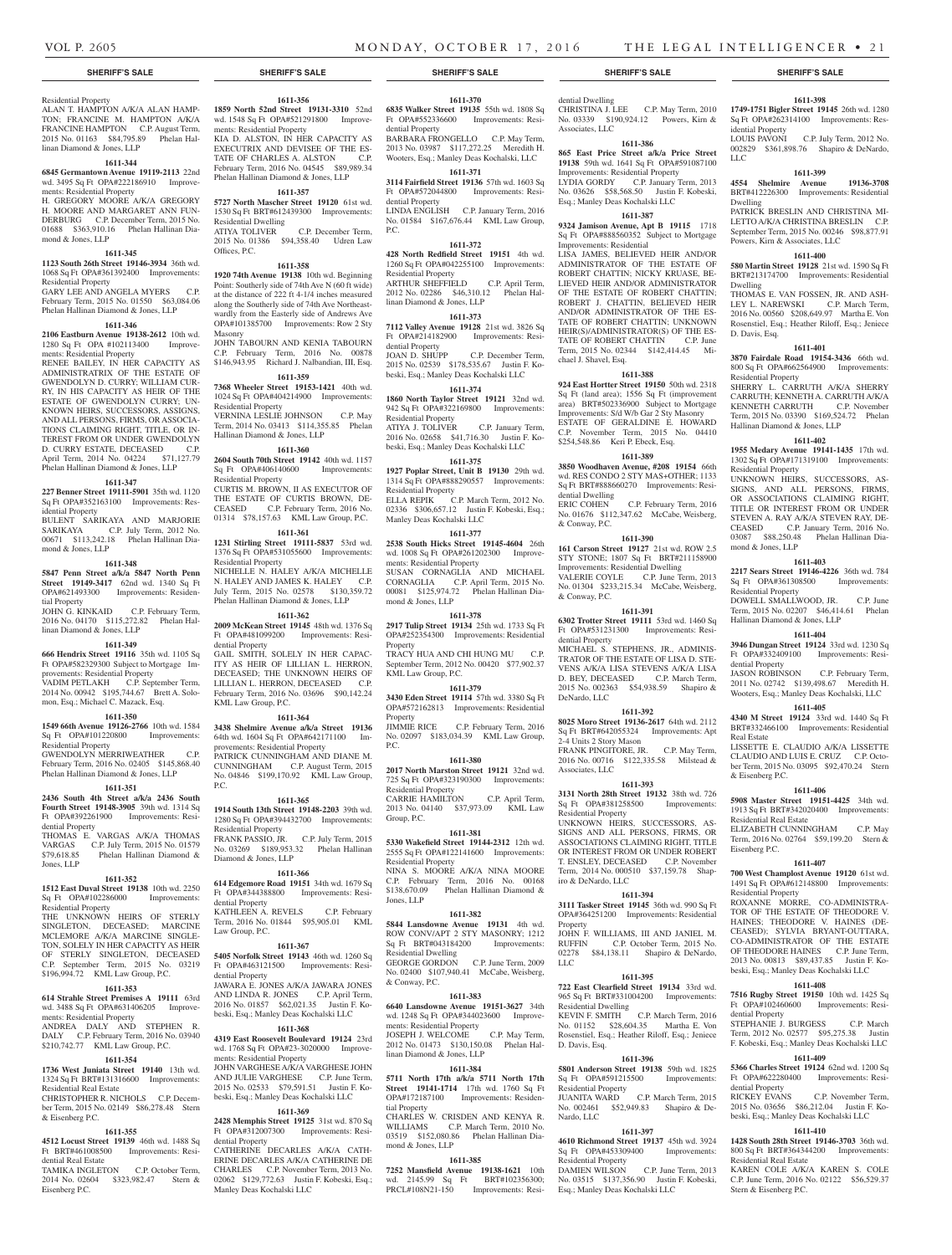CHRISTINA J. LEE C.P. May Term, 2010 No. 03339 \$190,924.12 Powers, Kirn &

**1611-398 1749-1751 Bigler Street 19145** 26th wd. 1280 Sq Ft OPA#262314100 Improvements: Res-

002829 \$361,898.76 Shapiro & DeNardo,

**1611-399 4554 Shelmire Avenue 19136-3708**  BRT#412226300 Improvements: Residential

PATRICK BRESLIN AND CHRISTINA MI-LETTO A/K/A CHRISTINA BRESLIN C.P. September Term, 2015 No. 00246 \$98,877.91

**1611-400 580 Martin Street 19128** 21st wd. 1590 Sq Ft BRT#213174700 Improvements: Residential

THOMAS E. VAN FOSSEN, JR. AND ASH-LEY L. NAREWSKI C.P. March Term, 2016 No. 00560 \$208,649.97 Martha E. Von Rosenstiel, Esq.; Heather Riloff, Esq.; Jeniece

**1611-401 3870 Fairdale Road 19154-3436** 66th wd. 800 Sq Ft OPA#662564900 Improvements:

SHERRY L. CARRUTH A/K/A SHERRY CARRUTH; KENNETH A. CARRUTH A/K/A KENNETH CARRUTH C.P. November Term, 2015 No. 03390 \$169,524.72 Phelan

**1611-402 1955 Medary Avenue 19141-1435** 17th wd. 1302 Sq Ft OPA#171319100 Improvements:

UNKNOWN HEIRS, SUCCESSORS, AS-SIGNS, AND ALL PERSONS, FIRMS, OR ASSOCIATIONS CLAIMING RIGHT, TITLE OR INTEREST FROM OR UNDER STEVEN A. RAY A/K/A STEVEN RAY, DE-CEASED C.P. January Term, 2016 No. 03087 \$88,250.48 Phelan Hallinan Dia-

**1611-403 2217 Sears Street 19146-4226** 36th wd. 784 Sq Ft OPA#361308500 Improvements:

DOWELL SMALLWOOD, JR. C.P. June Term, 2015 No. 02207 \$46,414.61 Phelan

**1611-404 3946 Dungan Street 19124** 33rd wd. 1230 Sq Ft OPA#332409100 Improvements: Resi-

JASON ROBINSON C.P. February Term, 2011 No. 02742 \$139,498.67 Meredith H. Wooters, Esq.; Manley Deas Kochalski, LLC **1611-405 4340 M Street 19124** 33rd wd. 1440 Sq Ft BRT#332466100 Improvements: Residential

LISSETTE E. CLAUDIO A/K/A LISSETTE CLAUDIO AND LUIS E. CRUZ C.P. October Term, 2015 No. 03095 \$92,470.24 Stern

**1611-406 5908 Master Street 19151-4425** 34th wd. 1913 Sq Ft BRT#342020400 Improvements:

ELIZABETH CUNNINGHAM C.P. May Term, 2016 No. 02764 \$59,199.20 Stern &

**1611-407 700 West Champlost Avenue 19120** 61st wd. 1491 Sq Ft OPA#612148800 Improvements:

ROXANNE MORRE, CO-ADMINISTRA-TOR OF THE ESTATE OF THEODORE V. HAINES; THEODORE V. HAINES (DE-CEASED); SYLVIA BRYANT-OUTTARA, CO-ADMINISTRATOR OF THE ESTATE OF THEODORE HAINES C.P. June Term, 2013 No. 00813 \$89,437.85 Justin F. Kobeski, Esq.; Manley Deas Kochalski LLC **1611-408 7516 Rugby Street 19150** 10th wd. 1425 Sq Ft OPA#102460600 Improvements: Resi-

STEPHANIE J. BURGESS C.P. March Term, 2012 No. 02577 \$95,275.38 Justin F. Kobeski, Esq.; Manley Deas Kochalski LLC **1611-409 5366 Charles Street 19124** 62nd wd. 1200 Sq Ft OPA#622280400 Improvements: Resi-

RICKEY EVANS C.P. November Term, 2015 No. 03656 \$86,212.04 Justin F. Kobeski, Esq.; Manley Deas Kochalski LLC **1611-410 1428 South 28th Street 19146-3703** 36th wd. 800 Sq Ft BRT#364344200 Improvements:

KAREN COLE A/K/A KAREN S. COLE C.P. June Term, 2016 No. 02122 \$56,529.37

Hallinan Diamond & Jones, LLP

Powers, Kirn & Associates, LLC

C.P. July Term, 2012 No.

idential Property

LLC

Dwelling

Dwelling

D. Davis, Esq.

Residential Property

Residential Property

mond & Jones, LLP

Residential Property

dential Property

Real Estate

& Eisenberg P.C.

Eisenberg P.C.

Residential Real Estate

Residential Property

dential Property

dential Property

Residential Real Estate

Stern & Eisenberg P.C.

Hallinan Diamond & Jones, LLP

**1611-386 865 East Price Street a/k/a Price Street 19138** 59th wd. 1641 Sq Ft OPA#591087100 Improvements: Residential Property LYDIA GORDY C.P. January Term, 2013 No. 03626 \$58,568.50 Justin F. Kobeski, Esq.; Manley Deas Kochalski LLC **1611-387 9324 Jamison Avenue, Apt B 19115** 1718 Sq Ft OPA#888560352 Subject to Mortgage

LISA JAMES, BELIEVED HEIR AND/OR ADMINISTRATOR OF THE ESTATE OF ROBERT CHATTIN: NICKY KRUASE, BE-LIEVED HEIR AND/OR ADMINISTRATOR OF THE ESTATE OF ROBERT CHATTIN; ROBERT J. CHATTIN, BELIEVED HEIR AND/OR ADMINISTRATOR OF THE ES-TATE OF ROBERT CHATTIN; UNKNOWN HEIR(S)/ADMINISTRATOR(S) OF THE ES-TATE OF ROBERT CHATTIN C.P. June Term, 2015 No. 02344 \$142,414.45 Mi-

**1611-388 924 East Hortter Street 19150** 50th wd. 2318 Sq Ft (land area); 1556 Sq Ft (improvement area) BRT#502336900 Subject to Mortgage Improvements: S/d W/b Gar 2 Sty Masonry ESTATE OF GERALDINE E. HOWARD C.P. November Term, 2015 No. 04410 \$254,548.86 Keri P. Ebeck, Esq. **1611-389 3850 Woodhaven Avenue, #208 19154** 66th wd. RES CONDO 2 STY MAS+OTHER; 1133 Sq Ft BRT#888660270 Improvements: Resi-

No. 01676 \$112,347.62 McCabe, Weisberg,

**1611-390 161 Carson Street 19127** 21st wd. ROW 2.5 STY STONE; 1807 Sq Ft BRT#211158900 Improvements: Residential Dwelling VALERIE COYLE C.P. June Term, 2013 No. 01304 \$233,215.34 McCabe, Weisberg,

**1611-391 6302 Trotter Street 19111** 53rd wd. 1460 Sq Ft OPA#531231300 Improvements: Resi-

MICHAEL S. STEPHENS, JR., ADMINIS-TRATOR OF THE ESTATE OF LISA D. STE-VENS A/K/A LISA STEVENS A/K/A LISA D. BEY, DECEASED C.P. March Term, 2015 No. 002363 \$54,938.59 Shapiro &

**1611-392 8025 Moro Street 19136-2617** 64th wd. 2112 Sq Ft BRT#642055324 Improvements: Apt

FRANK PINGITORE, JR. C.P. May Term, 2016 No. 00716 \$122,335.58 Milstead &

**1611-393 3131 North 28th Street 19132** 38th wd. 726 Sq Ft OPA#381258500 Improvements:

UNKNOWN HEIRS, SUCCESSORS, AS-SIGNS AND ALL PERSONS, FIRMS, OR ASSOCIATIONS CLAIMING RIGHT, TITLE OR INTEREST FROM OR UNDER ROBERT T. ENSLEY, DECEASED C.P. November Term, 2014 No. 000510 \$37,159.78 Shap-

**1611-394 3111 Tasker Street 19145** 36th wd. 990 Sq Ft OPA#364251200 Improvements: Residential

JOHN F. WILLIAMS, III AND JANIEL M. RUFFIN C.P. October Term, 2015 No. 02278 \$84,138.11 Shapiro & DeNardo,

**1611-395 722 East Clearfield Street 19134** 33rd wd. 965 Sq Ft BRT#331004200 Improvements:

KEVIN F. SMITH C.P. March Term, 2016 No. 01152 \$28,604.35 Martha E. Von Rosenstiel, Esq.; Heather Riloff, Esq.; Jeniece

**1611-396 5801 Anderson Street 19138** 59th wd. 1825 Sq Ft OPA#591215500 Improvements:

No. 002461 \$52,949.83 Shapiro & De-

**1611-397 4610 Richmond Street 19137** 45th wd. 3924<br>Sq Ft OPA#453309400 Improvements:

DAMIEN WILSON C.P. June Term, 2013 No. 03515 \$137,356.90 Justin F. Kobeski,

C.P. March Term, 2015

C.P. February Term, 2016

dential Dwelling

Associates, LLC

Improvements: Residential

chael J. Shavel, Esq.

dential Dwelling<br>ERIC COHEN

& Conway, P.C.

& Conway, P.C.

dential Property

DeNardo, LLC

Associates, LLC

Residential Property

iro & DeNardo, LLC

Residential Dwelling

Residential Property<br>JUANITA WARD

Sq Ft OPA#453309400 Residential Property

Esq.; Manley Deas Kochalski LLC

D. Davis, Esq.

Nardo, LLC

Property

LLC

2-4 Units 2 Story Mason

#### **SHERIFF'S SALE SHERIFF'S SALE SHERIFF'S SALE SHERIFF'S SALE SHERIFF'S SALE**

#### Residential Property

ALAN T. HAMPTON A/K/A ALAN HAMP-TON; FRANCINE M. HAMPTON A/K/A FRANCINE HAMPTON C.P. August Term, 2015 No. 01163 \$84,795.89 Phelan Hallinan Diamond & Jones, LLP

### **1611-344**

**6845 Germantown Avenue 19119-2113** 22nd wd. 3495 Sq Ft OPA#222186910 Improvements: Residential Property

#### H. GREGORY MOORE A/K/A GREGORY H. MOORE AND MARGARET ANN FUN-DERBURG C.P. December Term, 2015 No. 01688 \$363,910.16 Phelan Hallinan Diamond & Jones, LLP

#### **1611-345**

#### **1123 South 26th Street 19146-3934** 36th wd. 1068 Sq Ft OPA#361392400 Improvements:

Residential Property GARY LEE AND ANGELA MYERS C.P. February Term, 2015 No. 01550 \$63,084.06 Phelan Hallinan Diamond & Jones, LLP

#### **1611-346**

**2106 Eastburn Avenue 19138-2612** 10th wd. 1280 Sq Ft OPA #102113400 Improvements: Residential Property

RENEE BAILEY, IN HER CAPACITY AS ADMINISTRATRIX OF THE ESTATE OF GWENDOLYN D. CURRY; WILLIAM CUR-RY, IN HIS CAPACITY AS HEIR OF THE ESTATE OF GWENDOLYN CURRY; UN-KNOWN HEIRS, SUCCESSORS, ASSIGNS, AND ALL PERSONS, FIRMS, OR ASSOCIA-TIONS CLAIMING RIGHT, TITLE, OR IN-TEREST FROM OR UNDER GWENDOLYN D. CURRY ESTATE, DECEASED C.P. April Term, 2014 No. 04224 \$71,127.79 Phelan Hallinan Diamond & Jones, LLP

#### **1611-347**

**227 Benner Street 19111-5901** 35th wd. 1120 Sq Ft OPA#352163100 Improvements: Residential Property BULENT SARIKAYA AND MARJORIE

SARIKAYA C.P. July Term, 2012 No. 00671 \$113,242.18 Phelan Hallinan Diamond & Jones, LLP

#### **1611-348**

**5847 Penn Street a/k/a 5847 North Penn Street 19149-3417** 62nd wd. 1340 Sq Ft OPA#621493300 Improvements: Residential Property

JOHN G. KINKAID C.P. February Term, 2016 No. 04170 \$115,272.82 Phelan Hallinan Diamond & Jones, LLP

#### **1611-349**

**666 Hendrix Street 19116** 35th wd. 1105 Sq Ft OPA#582329300 Subject to Mortgage Im-

provements: Residential Property VADIM PETLAKH C.P. September Term,

2014 No. 00942 \$195,744.67 Brett A. Solomon, Esq.; Michael C. Mazack, Esq.

# **1611-350**

**1549 66th Avenue 19126-2766** 10th wd. 1584<br>Sq Ft OPA#101220800 Improvements: Sq Ft OPA#101220800 Residential Property

GWENDOLYN MERRIWEATHER C.P. February Term, 2016 No. 02405 \$145,868.40 Phelan Hallinan Diamond & Jones, LLP

#### **1611-351**

**2436 South 4th Street a/k/a 2436 South Fourth Street 19148-3905** 39th wd. 1314 Sq Ft OPA#392261900 Improvements: Residential Property THOMAS E. VARGAS A/K/A THOMAS VARGAS C.P. July Term, 2015 No. 01579<br>
\$79,618.85 Phelan Hallinan Diamond & **The Phelan Hallinan Diamond &** 

### **1611-352**

Jones, LLP

**1512 East Duval Street 19138** 10th wd. 2250 Sq Ft OPA#102286000 Improvements: Residential Property

THE UNKNOWN HEIRS OF STERLY SINGLETON, DECEASED; MARCINE MCLEMORE A/K/A MARCINE SINGLE-TON, SOLELY IN HER CAPACITY AS HEIR OF STERLY SINGLETON, DECEASED C.P. September Term, 2015 No. 03219 \$196,994.72 KML Law Group, P.C.

### **1611-353**

**614 Strahle Street Premises A 19111** 63rd

wd. 3488 Sq Ft OPA#631406205 Improvements: Residential Property ANDREA DALY AND STEPHEN R.

DALY C.P. February Term, 2016 No. 03940 \$210,742.77 KML Law Group, P.C.

# **1611-354**

**1736 West Juniata Street 19140** 13th wd. 1324 Sq Ft BRT#131316600 Improvements: Residential Real Estate

CHRISTOPHER R. NICHOLS C.P. December Term, 2015 No. 02149 \$86,278.48 Stern & Eisenberg P.C.

#### **1611-355**

**4512 Locust Street 19139** 46th wd. 1488 Sq Ft BRT#461008500 Improvements: Residential Real Estate TAMIKA INGLETON C.P. October Term,

2014 No. 02604 \$323,982.47 Stern & Eisenberg P.C.

# **1611-356**

**1859 North 52nd Street 19131-3310** 52nd wd. 1548 Sq Ft OPA#521291800 Improvements: Residential Property KIA D. ALSTON, IN HER CAPACITY AS EXECUTRIX AND DEVISEE OF THE ES-TATE OF CHARLES A. ALSTON C.P. February Term, 2016 No. 04545 \$89,989.34

# Phelan Hallinan Diamond & Jones, LLP **1611-357 5727 North Mascher Street 19120** 61st wd.

1530 Sq Ft BRT#612439300 Improvements: Residential Dwelling C.P. December Term, 2015 No. 01386 \$94,358.40 Udren Law Offices, P.C.

# **1611-358**

**1920 74th Avenue 19138** 10th wd. Beginning Point: Southerly side of 74th Ave N (60 ft wide) at the distance of 222 ft 4-1/4 inches measured along the Southerly side of 74th Ave Northeastwardly from the Easterly side of Andrews Ave OPA#101385700 Improvements: Row 2 Sty Masonry JOHN TABOURN AND KENIA TABOURN

C.P. February Term, 2016 No. 00878 \$146,943.95 Richard J. Nalbandian, III, Esq.

### **1611-359**

**7368 Wheeler Street 19153-1421** 40th wd. 1024 Sq Ft OPA#404214900 Improvements: Residential Property

#### VERNINA LESLIE JOHNSON C.P. May Term, 2014 No. 03413 \$114,355.85 Phelan Hallinan Diamond & Jones, LLP **1611-360**

**2604 South 70th Street 19142** 40th wd. 1157 Sq Ft OPA#406140600 Improvements: Residential Property

CURTIS M. BROWN, II AS EXECUTOR OF THE ESTATE OF CURTIS BROWN, DE-CEASED C.P. February Term, 2016 No. 01314 \$78,157.63 KML Law Group, P.C.

**1611-361 1231 Stirling Street 19111-5837** 53rd wd. 1376 Sq Ft OPA#531055600 Improvements: Residential Property

NICHELLE N. HALEY A/K/A MICHELLE N. HALEY AND JAMES K. HALEY C.P. July Term, 2015 No. 02578 \$130,359.72 Phelan Hallinan Diamond & Jones, LLP

### **1611-362**

**2009 McKean Street 19145** 48th wd. 1376 Sq Ft OPA#481099200 Improvements: Residential Property GAIL SMITH, SOLELY IN HER CAPAC-ITY AS HEIR OF LILLIAN L. HERRON, DECEASED; THE UNKNOWN HEIRS OF LILLIAN L. HERRON, DECEASED C.P. February Term, 2016 No. 03696 \$90,142.24 KML Law Group, P.C.

**1611-364**

#### **3438 Shelmire Avenue a/k/a Street 19136**  64th wd. 1604 Sq Ft OPA#642171100 Improvements: Residential Property PATRICK CUNNINGHAM AND DIANE M.

CUNNINGHAM C.P. August Term, 2015 No. 04846 \$199,170.92 KML Law Group, P.C.

#### **1611-365**

**1914 South 13th Street 19148-2203** 39th wd. 1280 Sq Ft OPA#394432700 Improvements: Residential Property FRANK PASSIO, JR. C.P. July Term, 2015 No. 03269 \$189,953.32 Phelan Hallinan

Diamond & Jones, LLP **1611-366**

# **614 Edgemore Road 19151** 34th wd. 1679 Sq

Ft OPA#344388800 Improvements: Residential Property KATHLEEN A. REVELS C.P. February Term, 2016 No. 01844 \$95,905.01 KML Law Group, P.C.

#### **1611-367**

**5405 Norfolk Street 19143** 46th wd. 1260 Sq Ft OPA#463121500 Improvements: Residential Property JAWARA E. JONES A/K/A JAWARA JONES AND LINDA R. JONES C.P. April Term, 2016 No. 01857 \$62,021.35 Justin F. Ko-

beski, Esq.; Manley Deas Kochalski LLC **1611-368**

#### **4319 East Roosevelt Boulevard 19124** 23rd wd. 1768 Sq Ft OPA#23-3020000 Improvements: Residential Property

JOHN VARGHESE A/K/A VARGHESE JOHN AND JULIE VARGHESE C.P. June Term, 2015 No. 02533 \$79,591.51 Justin F. Kobeski, Esq.; Manley Deas Kochalski LLC

# **1611-369**

**2428 Memphis Street 19125** 31st wd. 870 Sq Ft OPA#312007300 Improvements: Residential Property

CATHERINE DECARLES A/K/A CATH-ERINE DECARLES A/K/A CATHERINE DE CHARLES C.P. November Term, 2013 No. 02062 \$129,772.63 Justin F. Kobeski, Esq.; Manley Deas Kochalski LLC

# **1611-370**

**6835 Walker Street 19135** 55th wd. 1808 Sq Ft OPA#552336600 Improvements: Residential Property BARBARA FRONGELLO C.P. May Term, 2013 No. 03987 \$117,272.25 Meredith H. Wooters, Esq.; Manley Deas Kochalski, LLC

# **1611-371**

**3114 Fairfield Street 19136** 57th wd. 1603 Sq Ft OPA#572044800 Improvements: Residential Property

LINDA ENGLISH C.P. January Term, 2016 No. 01584 \$167,676.44 KML Law Group, P.C.

# **1611-372**

**428 North Redfield Street 19151** 4th wd. 1260 Sq Ft OPA#042255100 Improvements: Residential Property ARTHUR SHEFFIELD C.P. April Term, 2012 No. 02286 \$46,310.12 Phelan Hal-

# linan Diamond & Jones, LLP

**1611-373 7112 Valley Avenue 19128** 21st wd. 3826 Sq Ft OPA#214182900 Improvements: Residential Property<br>JOAN D. SHUPP

C.P. December Term, 2015 No. 02539 \$178,535.67 Justin F. Kobeski, Esq.; Manley Deas Kochalski LLC

#### **1611-374**

**1860 North Taylor Street 19121** 32nd wd. 942 Sq Ft OPA#322169800 Improvements: Residential Property<br>ATIYA J. TOLIVER C.P. January Term, 2016 No. 02658 \$41,716.30 Justin F. Kobeski, Esq.; Manley Deas Kochalski LLC

#### **1611-375**

**1927 Poplar Street, Unit B 19130** 29th wd. 1314 Sq Ft OPA#888290557 Improvements: Residential Property ELLA REPIK C.P. March Term, 2012 No. 02336 \$306,657.12 Justin F. Kobeski, Esq.;

Manley Deas Kochalski LLC **1611-377**

**2538 South Hicks Street 19145-4604** 26th wd. 1008 Sq Ft OPA#261202300 Improvements: Residential Property SUSAN CORNAGLIA AND MICHAEL CORNAGLIA C.P. April Term, 2015 No. 00081 \$125,974.72 Phelan Hallinan Diamond & Jones, LLP

**1611-378**

**2917 Tulip Street 19134** 25th wd. 1733 Sq Ft OPA#252354300 Improvements: Residential Property TRACY HUA AND CHI HUNG MU C.P.

September Term, 2012 No. 00420 \$77,902.37 KML Law Group, P.C. **1611-379**

**3430 Eden Street 19114** 57th wd. 3380 Sq Ft OPA#572162813 Improvements: Residential Property<br>JIMMIE RICE C.P. February Term, 2016

No. 02097 \$183,034.39 KML Law Group, P.C.

#### **1611-380**

**2017 North Marston Street 19121** 32nd wd. 725 Sq Ft OPA#323190300 Improvements: Residential Property CARRIE HAMILTON C.P. April Term, 2013 No. 04140 \$37,973.09 KML Law Group, P.C.

#### **1611-381**

**5330 Wakefield Street 19144-2312** 12th wd. 2555 Sq Ft OPA#122141600 Improvements: Residential Property NINA S. MOORE A/K/A NINA MOORE C.P. February Term, 2016 No. 00168 \$138,670.09 Phelan Hallinan Diamond & Jones, LLP

**1611-382 5844 Lansdowne Avenue 19131** 4th wd. ROW CONV/APT 2 STY MASONRY; 1212 Sq Ft BRT#043184200 Improvements:

GEORGE GORDON C.P. June Term, 2009 No. 02400 \$107,940.41 McCabe, Weisberg,

**1611-383 6640 Lansdowne Avenue 19151-3627** 34th wd. 1248 Sq Ft OPA#344023600 Improve-

JOSEPH J. WELCOME C.P. May Term, 2012 No. 01473 \$130,150.08 Phelan Hal-

**1611-384 5711 North 17th a/k/a 5711 North 17th Street 19141-1714** 17th wd. 1760 Sq Ft OPA#172187100 Improvements: Residen-

CHARLES W. CRISDEN AND KENYA R. WILLIAMS C.P. March Term, 2010 No. 03519 \$152,080.86 Phelan Hallinan Dia-

**1611-385 7252 Mansfield Avenue 19138-1621** 10th wd. 2145.99 Sq Ft BRT#102356300; PRCL#108N21-150 Improvements: Resi-

Residential Dwelling

ments: Residential Property

linan Diamond & Jones, LLP

& Conway, P.C.

tial Property

mond & Jones, LLP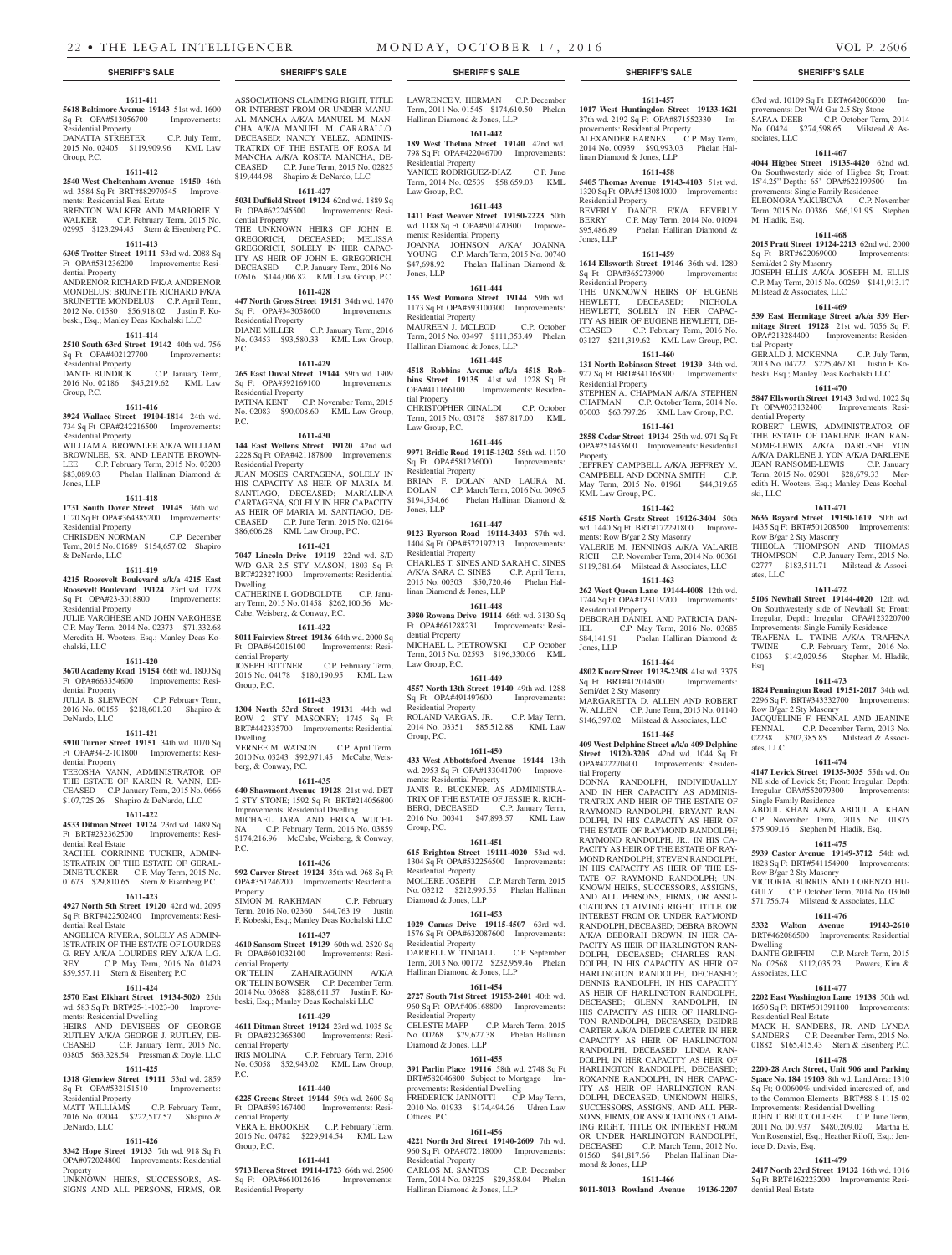**1611-442**

**1611-443 1411 East Weaver Street 19150-2223** 50th wd. 1188 Sq Ft OPA#501470300 Improve-

JOANNA JOHNSON A/KA/ JOANNA YOUNG C.P. March Term, 2015 No. 00740<br>\$47.698.92 Phelan Hallinan Diamond &

**1611-444 135 West Pomona Street 19144** 59th wd. 1173 Sq Ft OPA#593100300 Improvements:

MAUREEN J. MCLEOD C.P. October Term, 2015 No. 03497 \$111,353.49 Phelan

**1611-445 4518 Robbins Avenue a/k/a 4518 Robbins Street 19135** 41st wd. 1228 Sq Ft OPA#411166100 Improvements: Residen-

CHRISTOPHER GINALDI C.P. October Term, 2015 No. 03178 \$87,817.00 KML

**1611-446 9971 Bridle Road 19115-1302** 58th wd. 1170<br>Sq Ft OPA#581236000 Improvements:

BRIAN F. DOLAN AND LAURA M. DOLAN C.P. March Term, 2016 No. 00965 \$194,554.66 Phelan Hallinan Diamond &

**1611-447 9123 Ryerson Road 19114-3403** 57th wd. 1404 Sq Ft OPA#572197213 Improvements:

CHARLES T. SINES AND SARAH C. SINES A/K/A SARA C. SINES C.P. April Term, 2015 No. 00303 \$50,720.46 Phelan Hal-

**1611-448 3980 Rowena Drive 19114** 66th wd. 3130 Sq Ft OPA#661288231 Improvements: Resi-

MICHAEL L. PIETROWSKI C.P. October Term, 2015 No. 02593 \$196,330.06 KML

**1611-449 4557 North 13th Street 19140** 49th wd. 1288

ROLAND VARGAS, JR. C.P. May Term, 2014 No. 03351 \$85,512.88 KML Law

**1611-450 433 West Abbottsford Avenue 19144** 13th wd. 2953 Sq Ft OPA#133041700 Improve-

JANIS R. BUCKNER, AS ADMINISTRA-TRIX OF THE ESTATE OF JESSIE R. RICH-BERG, DECEASED C.P. January Term, 2016 No. 00341 \$47,893.57 KML Law

**1611-451 615 Brighton Street 19111-4020** 53rd wd. 1304 Sq Ft OPA#532256500 Improvements:

MOLIERE JOSEPH C.P. March Term, 2015 No. 03212 \$212,995.55 Phelan Hallinan

**1611-453 1029 Camas Drive 19115-4507** 63rd wd. 1576 Sq Ft OPA#632087600 Improvements:

DARRELL W. TINDALL C.P. September Term, 2013 No. 00172 \$232,959.46 Phelan

**1611-454 2727 South 71st Street 19153-2401** 40th wd. 960 Sq Ft OPA#406168800 Improvements:

CELESTE MAPP C.P. March Term, 2015 No. 00268 \$79,627.38 Phelan Hallinan

**1611-455 391 Parlin Place 19116** 58th wd. 2748 Sq Ft BRT#582046800 Subject to Mortgage Improvements: Residential Dwelling FREDERICK JANNOTTI C.P. May Term, 2010 No. 01933 \$174,494.26 Udren Law

**1611-456 4221 North 3rd Street 19140-2609** 7th wd. 960 Sq Ft OPA#072118000 Improvements:

CARLOS M. SANTOS C.P. December Term, 2014 No. 03225 \$29,358.04 Phelan

Hallinan Diamond & Jones, LLP

Hallinan Diamond & Jones, LLP

Phelan Hallinan Diamond &

Law Group, P.C.

Jones, LLP

tial Property

Jones, LLP

Residential Property

dential Property

Law Group, P.C.

Group, P.C.

Group, P.C.

Residential Property

Diamond & Jones, LLP

Residential Property

Residential Property

Offices, P.C.

Residential Property

Diamond & Jones, LLD

Hallinan Diamond & Jones, LLP

linan Diamond & Jones, LLP

Sq Ft OPA#491497600 Residential Property

ments: Residential Property

Law Group, P.C.

 $\overline{SA}$  Ft  $\overline{OPA4581236000}$ Residential Property

Residential Property

ments: Residential Property

#### **1611-411 5618 Baltimore Avenue 19143** 51st wd. 1600

Sq Ft OPA#513056700 Improvements: Residential Property<br>DANATTA STREETER DANATTA STREETER C.P. July Term,

2015 No. 02405 \$119,909.96 KML Law Group, P.C.

### **1611-412**

**2540 West Cheltenham Avenue 19150** 46th wd. 3584 Sq Ft BRT#882970545 Improvements: Residential Real Estate BRENTON WALKER AND MARJORIE Y.<br>WALKER C.P. February Term. 2015 No. C.P. February Term, 2015 No. 02995 \$123,294.45 Stern & Eisenberg P.C.

#### **1611-413**

**6305 Trotter Street 19111** 53rd wd. 2088 Sq Ft OPA#531236200 Improvements: Residential Property

ANDRENOR RICHARD F/K/A ANDRENOR MONDELUS; BRUNETTE RICHARD F/K/A BRUNETTE MONDELUS C.P. April Term, 2012 No. 01580 \$56,918.02 Justin F. Kobeski, Esq.; Manley Deas Kochalski LLC

#### **1611-414**

**2510 South 63rd Street 19142** 40th wd. 756 Sq Ft OPA#402127700 Improvements: Residential Property DANTE BUNDICK C.P. January Term,

2016 No. 02186 \$45,219.62 KML Law Group, P.C.

#### **1611-416 3924 Wallace Street 19104-1814** 24th wd. 734 Sq Ft OPA#242216500 Improvements:

Residential Property WILLIAM A. BROWNLEE A/K/A WILLIAM BROWNLEE, SR. AND LEANTE BROWN-LEE C.P. February Term, 2015 No. 03203<br>\$83,089.03 Phelan Hallinan Diamond & Phelan Hallinan Diamond & Jones, LLP

#### **1611-418**

**1731 South Dover Street 19145** 36th wd. 1120 Sq Ft OPA#364385200 Improvements: Residential Property CHRISDEN NORMAN C.P. December

Term, 2015 No. 01689 \$154,657.02 Shapiro & DeNardo, LLC

# **1611-419**

**4215 Roosevelt Boulevard a/k/a 4215 East Roosevelt Boulevard 19124** 23rd wd. 1728 Sq Ft OPA#23-3018800 Improvements: Residential Property

JULIE VARGHESE AND JOHN VARGHESE C.P. May Term, 2014 No. 02373 \$71,332.68 Meredith H. Wooters, Esq.; Manley Deas Kochalski, LLC

#### **1611-420**

**3670 Academy Road 19154** 66th wd. 1800 Sq Ft OPA#663354600 Improvements: Residential Property JULIA B. SLEWEON C.P. February Term,

2016 No. 00155 \$218,601.20 Shapiro & DeNardo, LLC

#### **1611-421**

**5910 Turner Street 19151** 34th wd. 1070 Sq Ft OPA#34-2-101800 Improvements: Residential Property

#### TEEOSHA VANN, ADMINISTRATOR OF THE ESTATE OF KAREN R. VANN, DE-CEASED C.P. January Term, 2015 No. 0666 \$107,725.26 Shapiro & DeNardo, LLC **1611-422**

**4533 Ditman Street 19124** 23rd wd. 1489 Sq Ft BRT#232362500 Improvements: Residential Real Estate

RACHEL CORRINNE TUCKER, ADMIN-ISTRATRIX OF THE ESTATE OF GERAL-DINE TUCKER C.P. May Term, 2015 No. 01673 \$29,810.65 Stern & Eisenberg P.C.

# **1611-423**

**4927 North 5th Street 19120** 42nd wd. 2095 Sq Ft BRT#422502400 Improvements: Residential Real Estate

ANGELICA RIVERA, SOLELY AS ADMIN-ISTRATRIX OF THE ESTATE OF LOURDES G. REY A/K/A LOURDES REY A/K/A L.G. REY C.P. May Term, 2016 No. 01423 \$59,557.11 Stern & Eisenberg P.C.

#### **1611-424**

**2570 East Elkhart Street 19134-5020** 25th wd. 583 Sq Ft BRT#25-1-1023-00 Improvements: Residential Dwelling

**1611-425**

Sq Ft OPA#532151510 Improvements:

MATT WILLIAMS C.P. February Term, 2016 No. 02044 \$222,517.57 Shapiro &

**1611-426 3342 Hope Street 19133** 7th wd. 918 Sq Ft OPA#072024800 Improvements: Residential

UNKNOWN HEIRS, SUCCESSORS, AS-SIGNS AND ALL PERSONS, FIRMS, OR

Residential Property<br>MATT WILLIAMS

DeNardo, LLC

Property

#### HEIRS AND DEVISEES OF GEORGE RUTLEY A/K/A GEORGE J. RUTLEY, DE-C.P. January Term, 2015 No.

03805 \$63,328.54 Pressman & Doyle, LLC **1318 Glenview Street 19111** 53rd wd. 2859 P.C.

dential Property<br>VERA E. BROOKER 2016 No. 04782 \$229,914.54 KML Law Group, P.C.

Sq Ft OPA#661012616 Improvements:

ASSOCIATIONS CLAIMING RIGHT, TITLE OR INTEREST FROM OR UNDER MANU-AL MANCHA A/K/A MANUEL M. MAN-CHA A/K/A MANUEL M. CARABALLO, DECEASED; NANCY VELEZ, ADMINIS-TRATRIX OF THE ESTATE OF ROSA M. MANCHA A/K/A ROSITA MANCHA, DE-CEASED C.P. June Term, 2015 No. 02825 \$19,444.98 Shapiro & DeNardo, LLC LAWRENCE V. HERMAN C.P. December Term, 2011 No. 01545 \$174,610.50 Phelan Hallinan Diamond & Jones, LLP **189 West Thelma Street 19140** 42nd wd. 798 Sq Ft OPA#422046700 Improvements: Residential Property YANICE RODRIGUEZ-DIAZ C.P. June Term, 2014 No. 02539 \$58,659.03 KML

# **1611-427**

**5031 Duffield Street 19124** 62nd wd. 1889 Sq Ft OPA#622245500 Improvements: Residential Property

THE UNKNOWN HEIRS OF JOHN E. GREGORICH, DECEASED; MELISSA

GREGORICH, SOLELY IN HER CAPAC-ITY AS HEIR OF JOHN E. GREGORICH,

DECEASED C.P. January Term, 2016 No. 02616 \$144,006.82 KML Law Group, P.C. **1611-428 447 North Gross Street 19151** 34th wd. 1470 Sq Ft OPA#343058600 Improvements: Residential Property DIANE MILLER C.P. January Term, 2016

No. 03453 \$93,580.33 KML Law Group, **1611-429**

P.C.

**265 East Duval Street 19144** 59th wd. 1909 Sq Ft OPA#592169100 Improvements: Residential Property PATINA KENT C.P. November Term, 2015 No. 02083 \$90,008.60 KML Law Group, P.C.

#### **1611-430**

**144 East Wellens Street 19120** 42nd wd. 2228 Sq Ft OPA#421187800 Improvements: Residential Property JUAN MOSES CARTAGENA, SOLELY IN HIS CAPACITY AS HEIR OF MARIA M. SANTIAGO, DECEASED; MARIALINA CARTAGENA, SOLELY IN HER CAPACITY AS HEIR OF MARIA M. SANTIAGO, DE-CEASED C.P. June Term, 2015 No. 02164 \$86,606.28 KML Law Group, P.C.

#### **1611-431**

**7047 Lincoln Drive 19119** 22nd wd. S/D W/D GAR 2.5 STY MASON; 1803 Sq Ft BRT#223271900 Improvements: Residential Dwelling CATHERINE I. GODBOLDTE C.P. January Term, 2015 No. 01458 \$262,100.56 Mc-Cabe, Weisberg, & Conway, P.C.

### **1611-432**

**8011 Fairview Street 19136** 64th wd. 2000 Sq Ft OPA#642016100 Improvements: Residential Property<br>JOSEPH BITTNER C.P. February Term, 2016 No. 04178 \$180,190.95 KML Law Group, P.C.

#### **1611-433**

**1304 North 53rd Street 19131** 44th wd. ROW 2 STY MASONRY; 1745 Sq Ft BRT#442335700 Improvements: Residential Dwelling

VERNEE M. WATSON C.P. April Term, 2010 No. 03243 \$92,971.45 McCabe, Weisberg, & Conway, P.C.

# **1611-435**

**640 Shawmont Avenue 19128** 21st wd. DET 2 STY STONE; 1592 Sq Ft BRT#214056800 Improvements: Residential Dwelling MICHAEL JARA AND ERIKA WUCHI-NA C.P. February Term, 2016 No. 03859 \$174,216.96 McCabe, Weisberg, & Conway, P.C.

#### **1611-436**

**992 Carver Street 19124** 35th wd. 968 Sq Ft OPA#351246200 Improvements: Residential Property SIMON M. RAKHMAN C.P. February Term, 2016 No. 02360 \$44,763.19 Justin F. Kobeski, Esq.; Manley Deas Kochalski LLC

# **1611-437**

**4610 Sansom Street 19139** 60th wd. 2520 Sq Ft OPA#601032100 Improvements: Residential Property OR'TELIN ZAHAIRAGUNN A/K/A OR'TELIN BOWSER C.P. December Term, 2014 No. 03688 \$288,611.57 Justin F. Kobeski, Esq.; Manley Deas Kochalski LLC

#### **1611-439**

**4611 Ditman Street 19124** 23rd wd. 1035 Sq Ft OPA#232365300 Improvements: Resitial Property IRIS MOLINA C.P. February Term, 2016 No. 05058 \$52,943.02 KML Law Group,

#### **1611-440**

**6225 Greene Street 19144** 59th wd. 2600 Sq Ft OPA#593167400 Improvements: Resi-C.P. February Term,

# **1611-441**

**9713 Berea Street 19114-1723** 66th wd. 2600 Residential Property

#### **SHERIFF'S SALE SHERIFF'S SALE SHERIFF'S SALE SHERIFF'S SALE SHERIFF'S SALE**

### **1611-457**

**1017 West Huntingdon Street 19133-1621**  37th wd. 2192 Sq Ft OPA#871552330 Improvements: Residential Property ALEXANDER BARNES C.P. May Term. 2014 No. 00939 \$90,993.03 Phelan Hallinan Diamond & Jones, LLP

#### **1611-458**

**5405 Thomas Avenue 19143-4103** 51st wd. 1320 Sq Ft OPA#513081000 Improvements: Residential Property BEVERLY DANCE F/K/A BEVERLY BERRY C.P. May Term, 2014 No. 01094

\$95,486.89 Phelan Hallinan Diamond & Jones, LLP **1611-459**

**1614 Ellsworth Street 19146** 36th wd. 1280 Sq Ft OPA#365273900 Improvements: Residential Property

THE UNKNOWN HEIRS OF EUGENE HEWLETT, DECEASED; NICHOLA HEWLETT, SOLELY IN HER CAPAC-ITY AS HEIR OF EUGENE HEWLETT, DE-CEASED C.P. February Term, 2016 No. 03127 \$211,319.62 KML Law Group, P.C.

# **1611-460**

**131 North Robinson Street 19139** 34th wd. 927 Sq Ft BRT#341168300 Improvements: Residential Property STEPHEN A. CHAPMAN A/K/A STEPHEN

CHAPMAN C.P. October Term, 2014 No. 03003 \$63,797.26 KML Law Group, P.C. **1611-461**

# **2858 Cedar Street 19134** 25th wd. 971 Sq Ft

OPA#251433600 Improvements: Residential Property **JEFFREY CAMPBELL A/K/A JEFFREY M.<br>CAMPBELL AND DONNA SMITH C.P.** 

CAMPBELL AND DONNA SMITH May Term, 2015 No. 01961 \$44,319.65 KML Law Group, P.C.

**1611-462 6515 North Gratz Street 19126-3404** 50th wd. 1440 Sq Ft BRT#172291800 Improvements: Row B/gar 2 Sty Masonry VALERIE M. JENNINGS A/K/A VALARIE RICH C.P. November Term, 2014 No. 00361 \$119,381.64 Milstead & Associates, LLC

### **1611-463**

**262 West Queen Lane 19144-4008** 12th wd. 1744 Sq Ft OPA#123119700 Improvements: Residential Property DEBORAH DANIEL AND PATRICIA DAN-

IEL C.P. May Term, 2016 No. 03685 \$84,141.91 Phelan Hallinan Diamond & Jones, LLP

# **1611-464**

**4802 Knorr Street 19135-2308** 41st wd. 3375 Sq Ft BRT#412014500 Improvements: Semi/det 2 Sty Masonry MARGARETTA D. ALLEN AND ROBERT W. ALLEN C.P. June Term, 2015 No. 01140 \$146,397.02 Milstead & Associates, LLC

#### **1611-465**

**409 West Delphine Street a/k/a 409 Delphine Street 19120-3205** 42nd wd. 1044 Sq Ft OPA#422270400 Improvements: Residential Property DONNA RANDOLPH, INDIVIDUALLY AND IN HER CAPACITY AS ADMINIS-TRATRIX AND HEIR OF THE ESTATE OF RAYMOND RANDOLPH; BRYANT RAN-DOLPH, IN HIS CAPACITY AS HEIR OF THE ESTATE OF RAYMOND RANDOLPH; RAYMOND RANDOLPH, JR., IN HIS CA-PACITY AS HEIR OF THE ESTATE OF RAY-MOND RANDOLPH; STEVEN RANDOLPH, IN HIS CAPACITY AS HEIR OF THE ES-TATE OF RAYMOND RANDOLPH; UN-KNOWN HEIRS, SUCCESSORS, ASSIGNS, AND ALL PERSONS, FIRMS, OR ASSO-CIATIONS CLAIMING RIGHT, TITLE OR INTEREST FROM OR UNDER RAYMOND RANDOLPH, DECEASED; DEBRA BROWN A/K/A DEBORAH BROWN, IN HER CA-PACITY AS HEIR OF HARLINGTON RAN-DOLPH, DECEASED; CHARLES RAN-DOLPH, IN HIS CAPACITY AS HEIR OF HARLINGTON RANDOLPH, DECEASED; DENNIS RANDOLPH, IN HIS CAPACITY AS HEIR OF HARLINGTON RANDOLPH, DECEASED; GLENN RANDOLPH, IN HIS CAPACITY AS HEIR OF HARLING-TON RANDOLPH, DECEASED; DEIDRE CARTER A/K/A DIEDRE CARTER IN HER CAPACITY AS HEIR OF HARLINGTON RANDOLPH, DECEASED; LINDA RAN-DOLPH, IN HER CAPACITY AS HEIR OF HARLINGTON RANDOLPH, DECEASED; ROXANNE RANDOLPH, IN HER CAPAC-ITY AS HEIR OF HARLINGTON RAN-DOLPH, DECEASED; UNKNOWN HEIRS, SUCCESSORS, ASSIGNS, AND ALL PER-SONS, FIRMS, OR ASSOCIATIONS CLAIM-ING RIGHT, TITLE OR INTEREST FROM OR UNDER HARLINGTON RANDOLPH, DECEASED C.P. March Term, 2012 No. 01560 \$41,817.66 Phelan Hallinan Diamond & Jones, LLP

# **1611-466**

**8011-8013 Rowland Avenue 19136-2207** 

63rd wd. 10109 Sq Ft BRT#642006000 Improvements: Det W/d Gar 2.5 Sty Stone<br>SAFAA DEEB C.P. October Term C.P. October Term, 2014 No. 00424 \$274,598.65 Milstead & Associates, LLC

#### **1611-467**

**4044 Higbee Street 19135-4420** 62nd wd. On Southwesterly side of Higbee St; Front: 15'4.25" Depth: 65' OPA#622199500 Improvements: Single Family Residence ELEONORA YAKUBOVA C.P. November Term, 2015 No. 00386 \$66,191.95 Stephen

### **1611-468**

**2015 Pratt Street 19124-2213** 62nd wd. 2000 Sq Ft BRT#622069000 Improvements:

JOSEPH ELLIS A/K/A JOSEPH M. ELLIS C.P. May Term, 2015 No. 00269 \$141,913.17

**1611-469 539 East Hermitage Street a/k/a 539 Hermitage Street 19128** 21st wd. 7056 Sq Ft OPA#213284400 Improvements: Residen-

GERALD J. MCKENNA C.P. July Term, 2013 No. 04722 \$225,467.81 Justin F. Kobeski, Esq.; Manley Deas Kochalski LLC **1611-470 5847 Ellsworth Street 19143** 3rd wd. 1022 Sq Ft OPA#033132400 Improvements: Resi-

ROBERT LEWIS, ADMINISTRATOR OF THE ESTATE OF DARLENE JEAN RAN-SOME-LEWIS A/K/A DARLENE YON A/K/A DARLENE J. YON A/K/A DARLENE JEAN RANSOME-LEWIS C.P. January Term, 2015 No. 02901 \$28,679.33 Meredith H. Wooters, Esq.; Manley Deas Kochal-

**1611-471 8636 Bayard Street 19150-1619** 50th wd. 1435 Sq Ft BRT#501208500 Improvements:

THEOLA THOMPSON AND THOMAS THOMPSON C.P. January Term, 2015 No. 02777 \$183,511.71 Milstead & Associ-

**1611-472 5106 Newhall Street 19144-4020** 12th wd. On Southwesterly side of Newhall St; Front: Irregular, Depth: Irregular OPA#123220700 Improvements: Single Family Residence TRAFENA L. TWINE A/K/A TRAFENA TWINE C.P. February Term, 2016 No. 01063 \$142,029.56 Stephen M. Hladik,

**1611-473 1824 Pennington Road 19151-2017** 34th wd. 2296 Sq Ft BRT#343332700 Improvements:

JACQUELINE F. FENNAL AND JEANINE FENNAL C.P. December Term, 2013 No. 02238 \$202,385.85 Milstead & Associ-

**1611-474 4147 Levick Street 19135-3035** 55th wd. On NE side of Levick St; Front: Irregular, Depth: Irregular OPA#552079300 Improvements:

ABDUL KHAN A/K/A ABDUL A. KHAN C.P. November Term, 2015 No. 01875 \$75,909.16 Stephen M. Hladik, Esq. **1611-475 5939 Castor Avenue 19149-3712** 54th wd. 1828 Sq Ft BRT#541154900 Improvements:

VICTORIA BURRUS AND LORENZO HU-GULY C.P. October Term, 2014 No. 03060 \$71,756.74 Milstead & Associates, LLC **1611-476 5332 Walton Avenue 19143-2610**  BRT#462086500 Improvements: Residential

DANTE GRIFFIN C.P. March Term, 2015 No. 02568 \$112,035.23 Powers, Kirn &

**1611-477 2202 East Washington Lane 19138** 50th wd. 1650 Sq Ft BRT#501391100 Improvements:

MACK H. SANDERS, JR. AND LYNDA SANDERS C.P. December Term, 2015 No. 01882 \$165,415.43 Stern & Eisenberg P.C. **1611-478 2200-28 Arch Street, Unit 906 and Parking Space No. 184 19103** 8th wd. Land Area: 1310 Sq Ft; 0.00600% undivided interested of, and to the Common Elements BRT#88-8-1115-02 Improvements: Residential Dwelling JOHN T. BRUCCOLIERE C.P. June Term, 2011 No. 001937 \$480,209.02 Martha E. Von Rosenstiel, Esq.; Heather Riloff, Esq.; Jen-

**1611-479 2417 North 23rd Street 19132** 16th wd. 1016 Sq Ft BRT#162223200 Improvements: Resi-

M. Hladik, Esq.

tial Property

dential Property

ski, LLC

ates, LLC

Esq.

ates, LLC

Dwelling

Associates, LLC

Residential Real Estate

iece D. Davis, Esq.

dential Real Estate

Row B/gar 2 Sty Masonry

Row B/gar 2 Sty Masonry

Single Family Residence

Row B/gar 2 Sty Masonry

Semi/det 2 Sty Masonry

Milstead & Associates, LLC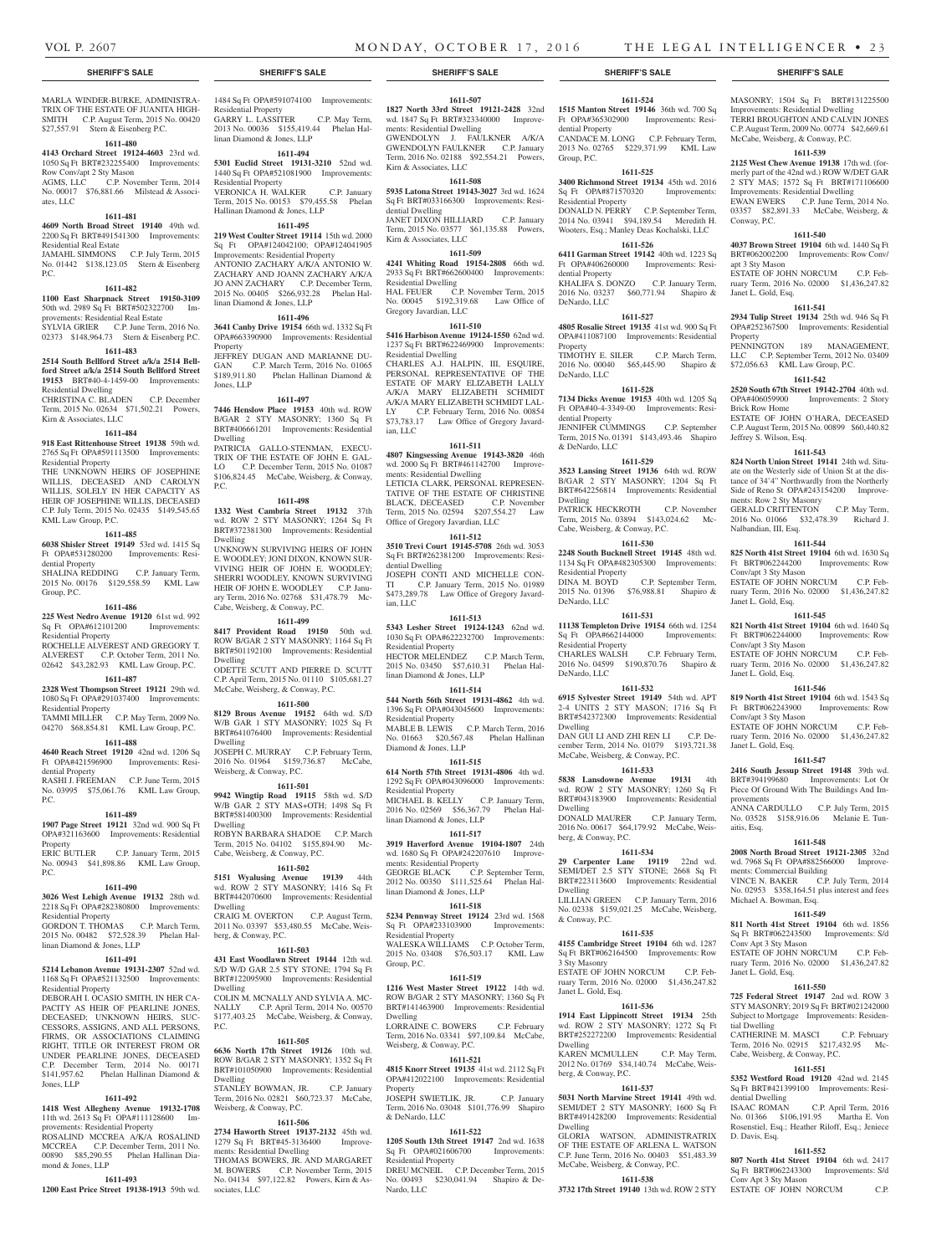dential Property

Residential Property

dential Property

DeNardo, LLC

DeNardo, LLC

dential Property

& DeNardo, LLC

Dwelling

Property

Group, P.C.

**1611-524 1515 Manton Street 19146** 36th wd. 700 Sq Ft OPA#365302900 Improvements: ResiMASONRY; 1504 Sq Ft BRT#131225500 Improvements: Residential Dwelling TERRI BROUGHTON AND CALVIN JONES C.P. August Term, 2009 No. 00774 \$42,669.61 McCabe, Weisberg, & Conway, P.C. **1611-539 2125 West Chew Avenue 19138** 17th wd. (formerly part of the 42nd wd.) ROW W/DET GAR 2 STY MAS; 1572 Sq Ft BRT#171106600 Improvements: Residential Dwelling EWAN EWERS C.P. June Term, 2014 No. 03357 \$82,891.33 McCabe, Weisberg, &

**1611-540 4037 Brown Street 19104** 6th wd. 1440 Sq Ft BRT#062002200 Improvements: Row Conv/

ESTATE OF JOHN NORCUM C.P. February Term, 2016 No. 02000 \$1,436,247.82

**1611-541 2934 Tulip Street 19134** 25th wd. 946 Sq Ft OPA#252367500 Improvements: Residential

PENNINGTON 189 MANAGEMENT. LLC C.P. September Term, 2012 No. 03409 \$72,056.63 KML Law Group, P.C. **1611-542 2520 South 67th Street 19142-2704** 40th wd. OPA#406059900 Improvements: 2 Story

ESTATE OF JOHN O'HARA, DECEASED C.P. August Term, 2015 No. 00899 \$60,440.82

**1611-543 824 North Union Street 19141** 24th wd. Situate on the Westerly side of Union St at the distance of 34'4" Northwardly from the Northerly Side of Reno St OPA#243154200 Improve-

GERALD CRITTENTON C.P. May Term, 2016 No. 01066 \$32,478.39 Richard J.

**1611-544 825 North 41st Street 19104** 6th wd. 1630 Sq Ft BRT#062244200 Improvements: Row

ESTATE OF JOHN NORCUM C.P. February Term, 2016 No. 02000 \$1,436,247.82

**1611-545 821 North 41st Street 19104** 6th wd. 1640 Sq Ft BRT#062244000 Improvements: Row

ESTATE OF JOHN NORCUM C.P. February Term, 2016 No. 02000 \$1,436,247.82

**1611-546 819 North 41st Street 19104** 6th wd. 1543 Sq Ft BRT#062243900 Improvements: Row

ESTATE OF JOHN NORCUM C.P. February Term, 2016 No. 02000 \$1,436,247.82

**1611-547 2416 South Jessup Street 19148** 39th wd.

Piece Of Ground With The Buildings And Im-

.<br>ANNA CARDULLO C.P. July Term, 2015 No. 03528 \$158,916.06 Melanie E. Tun-

**1611-548 2008 North Broad Street 19121-2305** 32nd wd. 7968 Sq Ft OPA#882566000 Improve-

VINCE N. BAKER C.P. July Term, 2014 No. 02953 \$358,164.51 plus interest and fees

**1611-549 811 North 41st Street 19104** 6th wd. 1856 Sq Ft BRT#062243500 Improvements: S/d

ESTATE OF JOHN NORCUM C.P. February Term, 2016 No. 02000 \$1,436,247.82

**1611-550 725 Federal Street 19147** 2nd wd. ROW 3 STY MASONRY; 2019 Sq Ft BRT#021242000 Subject to Mortgage Improvements: Residen-

CATHERINE M. MASCI C.P. February  $T_{\text{erm}}$  2016 No. 02915 \$217,432.95

**1611-551 5352 Westford Road 19120** 42nd wd. 2145 Sq Ft BRT#421399100 Improvements: Resi-

ISAAC ROMAN C.P. April Term, 2016 No. 01366 \$106,191.95 Martha E. Von Rosenstiel, Esq.; Heather Riloff, Esq.; Jeniece

**1611-552 807 North 41st Street 19104** 6th wd. 2417 Sq Ft BRT#062243300 Improvements: S/d

ESTATE OF JOHN NORCUM C.P.

ments: Commercial Building

Michael A. Bowman, Esq.

Conv Apt 3 Sty Mason

Janet L. Gold, Esq.

tial Dwelling

C.P. May Term, Cabe, Weisberg, & Conway, P.C.

dential Dwelling

D. Davis, Esq.

Conv Apt 3 Sty Mason

Improvements: Lot Or

Conway, P.C.

apt 3 Sty Mason

Property

Janet L. Gold, Esq.

Brick Row Home

Jeffrey S. Wilson, Esq.

ments: Row 2 Sty Masonry

Nalbandian, III, Esq.

Conv/apt 3 Sty Mason

Janet L. Gold, Esq.

Conv/apt 3 Sty Mason

Janet L. Gold, Esq.

Conv/apt 3 Sty Mason

Janet L. Gold, Esq.

provements

aitis, Esq.

CANDACE M. LONG C.P. February Term. 2013 No. 02765 \$229,371.99 KML Law

**1611-525 3400 Richmond Street 19134** 45th wd. 2016 Sq Ft OPA#871570320 Improvements:

DONALD N. PERRY C.P. September Term, 2014 No. 03941 \$94,189.54 Meredith H. Wooters, Esq.; Manley Deas Kochalski, LLC **1611-526 6411 Garman Street 19142** 40th wd. 1223 Sq Ft OPA#406260000 Improvements: Resi-

KHALIFA S. DONZO C.P. January Term, 2016 No. 03237 \$60,771.94 Shapiro &

**1611-527 4805 Rosalie Street 19135** 41st wd. 900 Sq Ft OPA#411087100 Improvements: Residential

TIMOTHY E. SILER C.P. March Term, 2016 No. 00040 \$65,445.90 Shapiro &

**1611-528 7134 Dicks Avenue 19153** 40th wd. 1205 Sq Ft OPA#40-4-3349-00 Improvements: Resi-

JENNIFER CUMMINGS C.P. September Term, 2015 No. 01391 \$143,493.46 Shapiro

**1611-529 3523 Lansing Street 19136** 64th wd. ROW B/GAR 2 STY MASONRY; 1204 Sq Ft BRT#642256814 Improvements: Residential

PATRICK HECKROTH C.P. November Term, 2015 No. 03894 \$143,024.62 Mc-

**1611-530 2248 South Bucknell Street 19145** 48th wd. 1134 Sq Ft OPA#482305300 Improvements:

2015 No. 01396 \$76,988.81 Shapiro &

**1611-531 11138 Templeton Drive 19154** 66th wd. 1254<br>
Sq Ft OPA#662144000 Improvements:

2016 No. 04599 \$190,870.76 Shapiro &

**1611-532 6915 Sylvester Street 19149** 54th wd. APT 2-4 UNITS 2 STY MASON; 1716 Sq Ft BRT#542372300 Improvements: Residential

DAN GUI LI AND ZHI REN LI C.P. December Term, 2014 No. 01079 \$193,721.38 McCabe, Weisberg, & Conway, P.C. **1611-533 5838 Lansdowne Avenue 19131** 4th wd. ROW 2 STY MASONRY; 1260 Sq Ft BRT#043183900 Improvements: Residential

DONALD MAURER C.P. January Term, 2016 No. 00617 \$64,179.92 McCabe, Weis-

**1611-534 29 Carpenter Lane 19119** 22nd wd. SEMI/DET 2.5 STY STONE; 2668 Sq Ft BRT#223113600 Improvements: Residential

LILLIAN GREEN C.P. January Term, 2016 No. 02338 \$159,021.25 McCabe, Weisberg,

**1611-535 4155 Cambridge Street 19104** 6th wd. 1287 Sq Ft BRT#062164500 Improvements: Row

ESTATE OF JOHN NORCUM C.P. February Term, 2016 No. 02000 \$1,436,247.82

**1611-536 1914 East Lippincott Street 19134** 25th wd. ROW 2 STY MASONRY; 1272 Sq Ft BRT#252272200 Improvements: Residential

2012 No. 01769 \$34,140.74 McCabe, Weis-

**1611-537 5031 North Marvine Street 19141** 49th wd. SEMI/DET 2 STY MASONRY: 1600 Sq Ft BRT#491428200 Improvements: Residential

GLORIA WATSON, ADMINISTRATRIX OF THE ESTATE OF ARLENA L. WATSON C.P. June Term, 2016 No. 00403 \$51,483.39 McCabe, Weisberg, & Conway, P.C. **1611-538 3732 17th Street 19140** 13th wd. ROW 2 STY

C.P. September Term,

C.P. February Term,

Cabe, Weisberg, & Conway, P.C.

Residential Property<br>DINA M. BOYD

Sq Ft OPA#662144000 Residential Property<br>CHARLES WALSH

DeNardo, LLC

DeNardo, LLC

Dwelling

Dwelling

Dwelling

& Conway, P.C.

3 Sty Masonry

Dwelling

Dwelling

Janet L. Gold, Esq.

KAREN MCMULLEN

berg, & Conway, P.C.

berg, & Conway, P.C.

MARLA WINDER-BURKE, ADMINISTRA-TRIX OF THE ESTATE OF JUANITA HIGH-SMITH C.P. August Term, 2015 No. 00420 \$27,557.91 Stern & Eisenberg P.C.

#### **1611-480**

#### **4143 Orchard Street 19124-4603** 23rd wd. 1050 Sq Ft BRT#232255400 Improvements:

Row Conv/apt 2 Sty Mason AGMS, LLC C.P. November Term, 2014 No. 00017 \$76,881.66 Milstead & Associates, LLC

#### **1611-481**

#### **4609 North Broad Street 19140** 49th wd. 2200 Sq Ft BRT#491541300 Improvements:

Residential Real Estate JAMAHL SIMMONS C.P. July Term, 2015 No. 01442 \$138,123.05 Stern & Eisenberg

# **1611-482**

P.C.

**1100 East Sharpnack Street 19150-3109**  50th wd. 2989 Sq Ft BRT#502322700 Im-

provements: Residential Real Estate SYLVIA GRIER C.P. June Term, 2016 No. 02373 \$148,964.73 Stern & Eisenberg P.C.

#### **1611-483**

**2514 South Bellford Street a/k/a 2514 Bellford Street a/k/a 2514 South Bellford Street 19153** BRT#40-4-1459-00 Improvements: Residential Dwelling

CHRISTINA C. BLADEN C.P. December Term, 2015 No. 02634 \$71,502.21 Powers, Kirn & Associates, LLC

#### **1611-484**

**918 East Rittenhouse Street 19138** 59th wd. 2765 Sq Ft OPA#591113500 Improvements:

Residential Property THE UNKNOWN HEIRS OF JOSEPHINE WILLIS, DECEASED AND CAROLYN WILLIS, SOLELY IN HER CAPACITY AS HEIR OF JOSEPHINE WILLIS, DECEASED C.P. July Term, 2015 No. 02435 \$149,545.65 KML Law Group, P.C.

#### **1611-485**

**6038 Shisler Street 19149** 53rd wd. 1415 Sq Ft OPA#531280200 Improvements: Residential Property SHALINA REDDING C.P. January Term,

2015 No. 00176 \$129,558.59 KML Law Group, P.C.

### **1611-486**

**225 West Nedro Avenue 19120** 61st wd. 992 Sq Ft OPA#612101200

Residential Property ROCHELLE ALVEREST AND GREGORY T. ALVEREST C.P. October Term, 2011 No.

# 02642 \$43,282.93 KML Law Group, P.C. **1611-487**

#### **2328 West Thompson Street 19121** 29th wd.

1080 Sq Ft OPA#291037400 Improvements: Residential Property TAMMI MILLER C.P. May Term, 2009 No. 04270 \$68,854.81 KML Law Group, P.C.

#### **1611-488**

**4640 Reach Street 19120** 42nd wd. 1206 Sq Ft OPA#421596900 Improvements: Residential Property

RASHI J. FREEMAN C.P. June Term, 2015 No. 03995 \$75,061.76 KML Law Group, P.C.

#### **1611-489**

**1907 Page Street 19121** 32nd wd. 900 Sq Ft OPA#321163600 Improvements: Residential Property

ERIC BUTLER C.P. January Term, 2015 No. 00943 \$41,898.86 KML Law Group, P.C.

#### **1611-490 3026 West Lehigh Avenue 19132** 28th wd.

2218 Sq Ft OPA#282380800 Improvements: Residential Property

GORDON T. THOMAS C.P. March Term, 2015 No. 00482 \$72,528.39 Phelan Hallinan Diamond & Jones, LLP

# **1611-491**

**5214 Lebanon Avenue 19131-2307** 52nd wd. 1168 Sq Ft OPA#521132500 Improvements:

Residential Property DEBORAH I. OCASIO SMITH, IN HER CA-PACITY AS HEIR OF PEARLINE JONES, DECEASED; UNKNOWN HEIRS, SUC-CESSORS, ASSIGNS, AND ALL PERSONS, FIRMS, OR ASSOCIATIONS CLAIMING RIGHT, TITLE OR INTEREST FROM OR UNDER PEARLINE JONES, DECEASED C.P. December Term, 2014 No. 00171<br>\$141.957.62 Phelan Hallinan Diamond & Phelan Hallinan Diamond & Jones, LLP

# **1611-492**

**1418 West Allegheny Avenue 19132-1708**  11th wd. 2613 Sq Ft OPA#111128600 Improvements: Residential Property ROSALIND MCCREA A/K/A ROSALIND MCCREA C.P. December Term, 2011 No.

#### 00890 \$85,290.55 Phelan Hallinan Diamond & Jones, LLP **1611-493**

**1200 East Price Street 19138-1913** 59th wd.

1484 Sq Ft OPA#591074100 Improvements: Residential Property GARRY L. LASSITER C.P. May Term, 2013 No. 00036 \$155,419.44 Phelan Hal-

# linan Diamond & Jones, LLP **1611-494**

**5301 Euclid Street 19131-3210** 52nd wd. 1440 Sq Ft OPA#521081900 Improvements: Residential Property VERONICA H. WALKER C.P. January Term, 2015 No. 00153 \$79,455.58 Phelan

#### Hallinan Diamond & Jones, LLP **1611-495**

**219 West Coulter Street 19114** 15th wd. 2000 Sq Ft OPA#124042100; OPA#124041905 Improvements: Residential Property ANTONIO ZACHARY A/K/A ANTONIO W. ZACHARY AND JOANN ZACHARY A/K/A JO ANN ZACHARY C.P. December Term, 2015 No. 00405 \$266,932.28 Phelan Hallinan Diamond & Jones, LLP

#### **1611-496**

**3641 Canby Drive 19154** 66th wd. 1332 Sq Ft OPA#663390900 Improvements: Residential Property JEFFREY DUGAN AND MARIANNE DU-

GAN C.P. March Term, 2016 No. 01065 \$189,911.80 Phelan Hallinan Diamond & Jones, LLP

#### **1611-497**

**7446 Henslow Place 19153** 40th wd. ROW B/GAR 2 STY MASONRY; 1360 Sq Ft BRT#406661201 Improvements: Residential Dwelling PATRICIA GALLO-STENMAN, EXECU-TRIX OF THE ESTATE OF JOHN E. GAL-LO C.P. December Term, 2015 No. 01087 \$106,824.45 McCabe, Weisberg, & Conway,

#### **1611-498**

P.C.

**1332 West Cambria Street 19132** 37th wd. ROW 2 STY MASONRY; 1264 Sq Ft BRT#372381300 Improvements: Residential Dwelling UNKNOWN SURVIVING HEIRS OF JOHN E. WOODLEY; JONI DIXON, KNOWN SUR-VIVING HEIR OF JOHN E. WOODLEY; SHERRI WOODLEY, KNOWN SURVIVING HEIR OF JOHN E. WOODLEY C.P. January Term, 2016 No. 02768 \$31,478.79 Mc-Cabe, Weisberg, & Conway, P.C.

#### **1611-499**

**8417 Provident Road 19150** 50th wd. ROW B/GAR 2 STY MASONRY; 1164 Sq Ft BRT#501192100 Improvements: Residential Dwelling

ODETTE SCUTT AND PIERRE D. SCUTT C.P. April Term, 2015 No. 01110 \$105,681.27 McCabe, Weisberg, & Conway, P.C.

### **1611-500**

**8129 Brous Avenue 19152** 64th wd. S/D W/B GAR 1 STY MASONRY; 1025 Sq Ft BRT#641076400 Improvements: Residential Dwelling

JOSEPH C. MURRAY C.P. February Term, 2016 No. 01964 \$159,736.87 McCabe, Weisberg, & Conway, P.C.

#### **1611-501**

**9942 Wingtip Road 19115** 58th wd. S/D W/B GAR 2 STY MAS+OTH; 1498 Sq Ft BRT#581400300 Improvements: Residential Dwelling ROBYN BARBARA SHADOE C.P. March

Term, 2015 No. 04102 \$155,894.90 Mc-Cabe, Weisberg, & Conway, P.C. **1611-502**

# **5151 Wyalusing Avenue 19139** 44th

wd. ROW 2 STY MASONRY; 1416 Sq Ft BRT#442070600 Improvements: Residential Dwelling CRAIG M. OVERTON C.P. August Term, 2011 No. 03397 \$53,480.55 McCabe, Weisberg, & Conway, P.C.

#### **1611-503**

**431 East Woodlawn Street 19144** 12th wd. S/D W/D GAR 2.5 STY STONE; 1794 Sq Ft BRT#122095900 Improvements: Residential Dwelling

COLIN M. MCNALLY AND SYLVIA A. MC-NALLY C.P. April Term, 2014 No. 00570 \$177,403.25 McCabe, Weisberg, & Conway, P.C.

#### **1611-505**

**6636 North 17th Street 19126** 10th wd. ROW B/GAR 2 STY MASONRY; 1352 Sq Ft BRT#101050900 Improvements: Residential Dwelling STANLEY BOWMAN, JR. C.P. January

#### Term, 2016 No. 02821 \$60,723.37 McCabe, Weisberg, & Conway, P.C.

**1611-506**

**2734 Haworth Street 19137-2132** 45th wd. 1279 Sq Ft BRT#45-3136400 Improvements: Residential Dwelling THOMAS BOWERS, JR. AND MARGARET

M. BOWERS C.P. November Term, 2015 No. 04134 \$97,122.82 Powers, Kirn & Associates, LLC

**SHERIFF'S SALE SHERIFF'S SALE SHERIFF'S SALE SHERIFF'S SALE SHERIFF'S SALE**

### **1611-507**

**1827 North 33rd Street 19121-2428** 32nd wd. 1847 Sq Ft BRT#323340000 Improvements: Residential Dwelling GWENDOLYN J. FAULKNER A/K/A GWENDOLYN FAULKNER C.P. January Term, 2016 No. 02188 \$92,554.21 Powers, Kirn & Associates, LLC

#### **1611-508**

**5935 Latona Street 19143-3027** 3rd wd. 1624 Sq Ft BRT#033166300 Improvements: Residential Dwelling JANET DIXON HILLIARD C.P. January Term, 2015 No. 03577 \$61,135.88 Powers, Kirn & Associates, LLC

# **1611-509**

**4241 Whiting Road 19154-2808** 66th wd. 2933 Sq Ft BRT#662600400 Improvements:

Residential Dwelling HAL FEUER C.P. November Term, 2015 No. 00045 \$192,319.68 Law Office of Gregory Javardian, LLC

### **1611-510**

**5416 Harbison Avenue 19124-1550** 62nd wd. 1237 Sq Ft BRT#622469900 Improvements: Residential Dwelling CHARLES A.J. HALPIN, III, ESQUIRE, PERSONAL REPRESENTATIVE OF THE ESTATE OF MARY ELIZABETH LALLY A/K/A MARY ELIZABETH SCHMIDT A/K/A MARY ELIZABETH SCHMIDT LAL-LY C.P. February Term, 2016 No. 00854 \$73,783.17 Law Office of Gregory Javard-

#### **1611-511**

ian, LLC

**4807 Kingsessing Avenue 19143-3820** 46th wd. 2000 Sq Ft BRT#461142700 Improvements: Residential Dwelling LETICIA CLARK, PERSONAL REPRESEN-TATIVE OF THE ESTATE OF CHRISTINE BLACK, DECEASED C.P. November Term, 2015 No. 02594 \$207,554.27 Law Office of Gregory Javardian, LLC

# **1611-512**

**3510 Trevi Court 19145-5708** 26th wd. 3053 Sq Ft BRT#262381200 Improvements: Residential Dwelling JOSEPH CONTI AND MICHELLE CON-TI C.P. January Term, 2015 No. 01989

\$473,289.78 Law Office of Gregory Javardian, LLC **1611-513**

**5343 Lesher Street 19124-1243** 62nd wd. 1030 Sq Ft OPA#622232700 Improvements: Residential Property HECTOR MELENDEZ C.P. March Term, 2015 No. 03450 \$57,610.31 Phelan Hal-

linan Diamond & Jones, LLP **1611-514**

**544 North 56th Street 19131-4862** 4th wd. 1396 Sq Ft OPA#043045600 Improvements: Residential Property MABLE B. LEWIS C.P. March Term, 2016 No. 01663 \$20,567.48 Phelan Hallinan Diamond & Jones, LLP

# **1611-515**

**614 North 57th Street 19131-4806** 4th wd. 1292 Sq Ft OPA#043096000 Improvements: Residential Property MICHAEL B. KELLY C.P. January Term, 2016 No. 02569 \$56,367.79 Phelan Hal-

linan Diamond & Jones, LLP **1611-517**

**3919 Haverford Avenue 19104-1807** 24th wd. 1680 Sq Ft OPA#242207610 Improvements: Residential Property GEORGE BLACK C.P. September Term, 2012 No. 00350 \$111,525.64 Phelan Hallinan Diamond & Jones, LLP

# **1611-518**

Group, P.C.

Dwelling

Property

& DeNardo, LLC

Nardo, LLC

Sq Ft OPA#021606700 Residential Property

Weisberg, & Conway, P.C.

**5234 Pennway Street 19124** 23rd wd. 1568 Sq Ft OPA#233103900 Improvements: Residential Property WALESKA WILLIAMS C.P. October Term, 2015 No. 03408 \$76,503.17 KML Law

**1611-519 1216 West Master Street 19122** 14th wd. ROW B/GAR 2 STY MASONRY; 1360 Sq Ft BRT#141463900 Improvements: Residential

LORRAINE C. BOWERS C.P. February Term, 2016 No. 03341 \$97,109.84 McCabe,

**1611-521 4815 Knorr Street 19135** 41st wd. 2112 Sq Ft OPA#412022100 Improvements: Residential

JOSEPH SWIETLIK, JR. C.P. January Term, 2016 No. 03048 \$101,776.99 Shapiro

**1611-522 1205 South 13th Street 19147** 2nd wd. 1638<br>Sq Ft OPA#021606700 Improvements:

DREU MCNEIL C.P. December Term, 2015 No. 00493 \$230,041.94 Shapiro & De-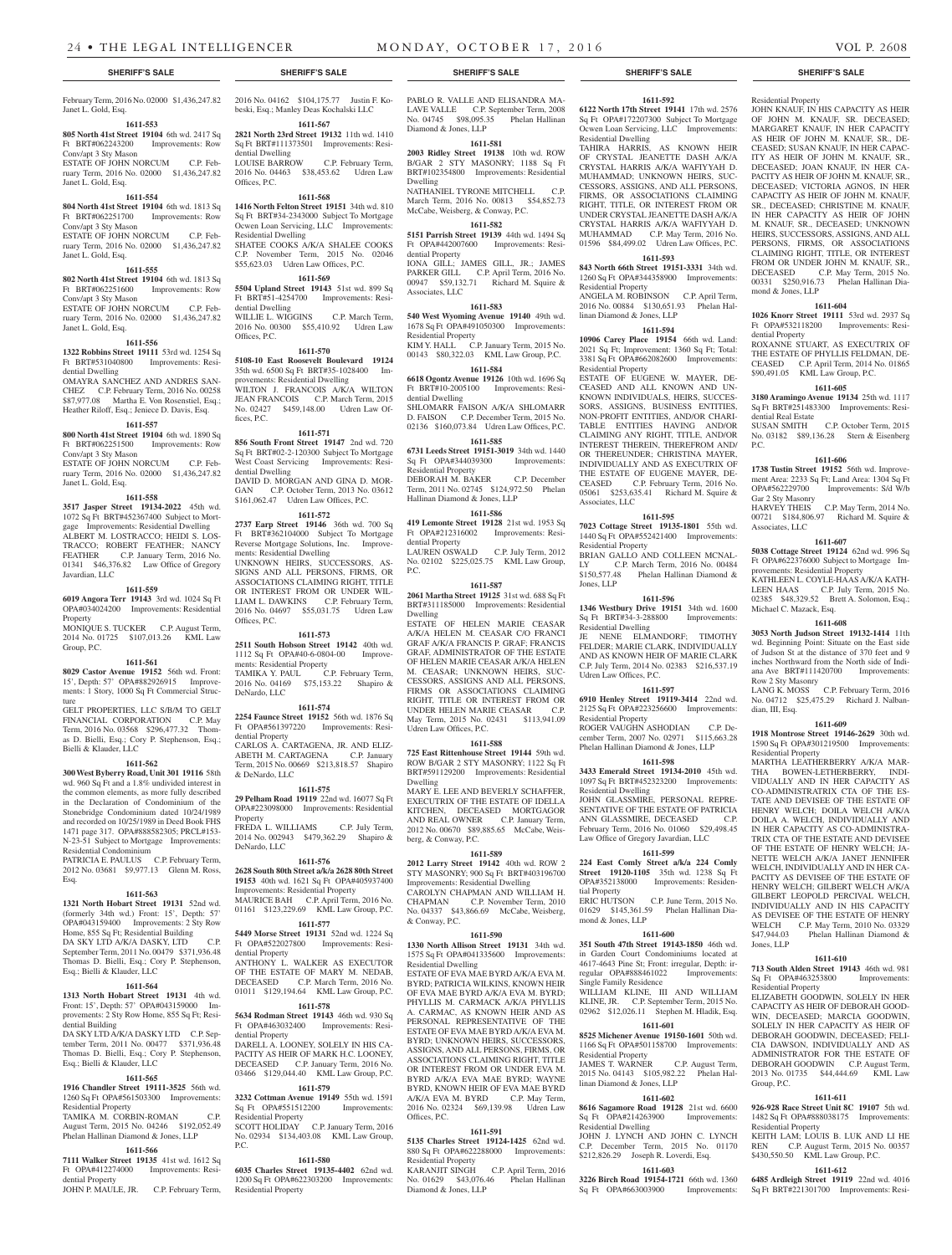# Janet L. Gold, Esq.

**1611-553 805 North 41st Street 19104** 6th wd. 2417 Sq

#### Ft BRT#062243200 Improvements: Row

Conv/apt 3 Sty Mason ESTATE OF JOHN NORCUM C.P. February Term, 2016 No. 02000 \$1,436,247.82 Janet L. Gold, Esq.

#### **1611-554**

**804 North 41st Street 19104** 6th wd. 1813 Sq Ft BRT#062251700 Improvements: Row Conv/apt 3 Sty Mason

#### ESTATE OF JOHN NORCUM C.P. February Term, 2016 No. 02000 \$1,436,247.82 Janet L. Gold, Esq.

#### **1611-555**

**802 North 41st Street 19104** 6th wd. 1813 Sq Ft BRT#062251600 Improvements: Row Conv/apt 3 Sty Mason

ESTATE OF JOHN NORCUM C.P. February Term, 2016 No. 02000 \$1,436,247.82 Janet L. Gold, Esq. **1611-556**

# **1322 Robbins Street 19111** 53rd wd. 1254 Sq

Ft BRT#531040800 Improvements: Residential Dwelling

OMAYRA SANCHEZ AND ANDRES SAN-CHEZ C.P. February Term, 2016 No. 00258 \$87,977.08 Martha E. Von Rosenstiel, Esq.; Heather Riloff, Esq.; Jeniece D. Davis, Esq.

#### **1611-557**

**800 North 41st Street 19104** 6th wd. 1890 Sq Ft BRT#062251500 Improvements: Row Conv/apt 3 Sty Mason

ESTATE OF JOHN NORCUM C.P. February Term, 2016 No. 02000 \$1,436,247.82 Janet L. Gold, Esq.

# **1611-558**

**3517 Jasper Street 19134-2022** 45th wd. 1072 Sq Ft BRT#452367400 Subject to Mortgage Improvements: Residential Dwelling ALBERT M. LOSTRACCO; HEIDI S. LOS-TRACCO; ROBERT FEATHER; NANCY FEATHER C.P. January Term, 2016 No. 01341 \$46,376.82 Law Office of Gregory Javardian, LLC

#### **1611-559**

**6019 Angora Terr 19143** 3rd wd. 1024 Sq Ft OPA#034024200 Improvements: Residential Property MONIQUE S. TUCKER C.P. August Term,

2014 No. 01725 \$107,013.26 KML Law Group, P.C.

# **1611-561**

**8029 Castor Avenue 19152** 56th wd. Front: 15', Depth: 57' OPA#882926915 Improvements: 1 Story, 1000 Sq Ft Commercial Structure

GELT PROPERTIES, LLC S/B/M TO GELT FINANCIAL CORPORATION C.P. May Term, 2016 No. 03568 \$296,477.32 Thomas D. Bielli, Esq.; Cory P. Stephenson, Esq.; Bielli & Klauder, LLC

#### **1611-562**

**300 West Byberry Road, Unit 301 19116** 58th wd. 960 Sq Ft and a 1.8% undivided interest in the common elements, as more fully described in the Declaration of Condominium of the Stonebridge Condominium dated 10/24/1989 and recorded on 10/25/1989 in Deed Book FHS 1471 page 317. OPA#888582305; PRCL#153- N-23-51 Subject to Mortgage Improvements: Residential Condominium

PATRICIA E. PAULUS C.P. February Term, 2012 No. 03681 \$9,977.13 Glenn M. Ross, Esq.

#### **1611-563**

**1321 North Hobart Street 19131** 52nd wd. (formerly 34th wd.) Front: 15', Depth: 57' OPA#043159400 Improvements: 2 Sty Row Home, 855 Sq Ft; Residential Building DA SKY LTD A/K/A DASKY, LTD C.P. September Term, 2011 No. 00479 \$371,936.48 Thomas D. Bielli, Esq.; Cory P. Stephenson, Esq.; Bielli & Klauder, LLC

#### **1611-564**

**1313 North Hobart Street 19131** 4th wd. Front: 15', Depth: 57' OPA#043159000 Improvements: 2 Sty Row Home, 855 Sq Ft; Resi-.<br>dential Building DA SKY LTD A/K/A DASKY LTD C.P. September Term, 2011 No. 00477 \$371,936.48

Thomas D. Bielli, Esq.; Cory P. Stephenson, Esq.; Bielli & Klauder, LLC

#### **1611-565**

**1916 Chandler Street 19111-3525** 56th wd. 1260 Sq Ft OPA#561503300 Improvements: Residential Property TAMIKA M. CORBIN-ROMAN August Term, 2015 No. 04246 \$192,052.49 Phelan Hallinan Diamond & Jones, LLP

#### **1611-566**

**7111 Walker Street 19135** 41st wd. 1612 Sq Ft OPA#412274000 Improvements: Residential Property

JOHN P. MAULE, JR. C.P. February Term,

February Term, 2016 No. 02000 \$1,436,247.82 2016 No. 04162 \$104,175.77 Justin F. Kobeski, Esq.; Manley Deas Kochalski LLC **1611-567**

**2821 North 23rd Street 19132** 11th wd. 1410 Sq Ft BRT#111373501 Improvements: Residential Dwelling<br>LOUISE BARROW C.P. February Term, 2016 No. 04463 \$38,453.62 Udren Law Offices, P.C.

#### **1611-568**

**1416 North Felton Street 19151** 34th wd. 810 Sq Ft BRT#34-2343000 Subject To Mortgage Ocwen Loan Servicing, LLC Improvements: Residential Dwelling SHATEE COOKS A/K/A SHALEE COOKS C.P. November Term, 2015 No. 02046 \$55,623.03 Udren Law Offices, P.C.

**1611-569 5504 Upland Street 19143** 51st wd. 899 Sq Ft BRT#51-4254700 Improvements: Residential Dwelling

WILLIE L. WIGGINS C.P. March Term, 2016 No. 00300 \$55,410.92 Udren Law Offices, P.C.

#### **1611-570**

**5108-10 East Roosevelt Boulevard 19124**  35th wd. 6500 Sq Ft BRT#35-1028400 Improvements: Residential Dwelling WILTON J. FRANCOIS A/K/A WILTON JEAN FRANCOIS C.P. March Term, 2015 No. 02427 \$459,148.00 Udren Law Offices, P.C.

#### **1611-571**

**856 South Front Street 19147** 2nd wd. 720 Sq Ft BRT#02-2-120300 Subject To Mortgage West Coast Servicing Improvements: Residential Dwelling DAVID D. MORGAN AND GINA D. MOR-GAN C.P. October Term, 2013 No. 03612 \$161,062.47 Udren Law Offices, P.C.

#### **1611-572**

**2737 Earp Street 19146** 36th wd. 700 Sq Ft BRT#362104000 Subject To Mortgage Reverse Mortgage Solutions, Inc. Improvements: Residential Dwelling

UNKNOWN HEIRS, SUCCESSORS, AS-SIGNS AND ALL PERSONS, FIRMS, OR ASSOCIATIONS CLAIMING RIGHT, TITLE OR INTEREST FROM OR UNDER WIL-LIAM L. DAWKINS C.P. February Term, 2016 No. 04697 \$55,031.75 Udren Law Offices, P.C.

#### **1611-573**

**2511 South Hobson Street 19142** 40th wd. 1112 Sq Ft OPA#40-6-0804-00 Improvements: Residential Property<br>TAMIKA Y. PAUL C. C.P. February Term, 2016 No. 04169 \$75,153.22 Shapiro & DeNardo, LLC

#### **1611-574**

**2254 Faunce Street 19152** 56th wd. 1876 Sq Ft OPA#561397220 Improvements: Residential Property CARLOS A. CARTAGENA, JR. AND ELIZ-<br>ABETH M. CARTAGENA C.P. January ABETH M. CARTAGENA C.P. January Term, 2015 No. 00669 \$213,818.57 Shapiro & DeNardo, LLC

#### **1611-575**

**29 Pelham Road 19119** 22nd wd. 16077 Sq Ft OPA#223098000 Improvements: Residential Property FREDA L. WILLIAMS C.P. July Term, 2014 No. 002943 \$479,362.29 Shapiro & DeNardo, LLC

### **1611-576**

**2628 South 80th Street a/k/a 2628 80th Street 19153** 40th wd. 1621 Sq Ft OPA#405937400 Improvements: Residential Property MAURICE BAH C.P. April Term, 2016 No. 01161 \$123,229.69 KML Law Group, P.C.

### **1611-577**

**5449 Morse Street 19131** 52nd wd. 1224 Sq Ft OPA#522027800 Improvements: Residential Property ANTHONY L. WALKER AS EXECUTOR OF THE ESTATE OF MARY M. NEDAB, DECEASED C.P. March Term, 2016 No. 01011 \$129,194.64 KML Law Group, P.C.

#### **1611-578 5634 Rodman Street 19143** 46th wd. 930 Sq

Ft OPA#463032400 Improvements: Residential Property DARELL A LOONEY SOLELY IN HIS CA

PACITY AS HEIR OF MARK H.C. LOONEY, DECEASED C.P. January Term, 2016 No. 03466 \$129,044.40 KML Law Group, P.C. **1611-579**

# **3232 Cottman Avenue 19149** 55th wd. 1591

Sq Ft OPA#551512200 Improvements: Residential Property SCOTT HOLIDAY C.P. January Term, 2016 No. 02934 \$134,403.08 KML Law Group, P.C.

# **1611-580**

**6035 Charles Street 19135-4402** 62nd wd. 1200 Sq Ft OPA#622303200 Improvements: Residential Property

**SHERIFF'S SALE SHERIFF'S SALE SHERIFF'S SALE SHERIFF'S SALE SHERIFF'S SALE**

PABLO R. VALLE AND ELISANDRA MA-LAVE VALLE C.P. September Term, 2008 No. 04745 \$98,095.35 Phelan Hallinan Diamond & Jones, LLP

**1611-592 6122 North 17th Street 19141** 17th wd. 2576 Sq Ft OPA#172207300 Subject To Mortgage Ocwen Loan Servicing, LLC Improvements:

Residential Property

mond & Jones, LLP

dential Property

dential Real Estate<br>SUSAN SMITH

Gar 2 Sty Masonry

Associates, LLC

P.C.

JOHN KNAUF, IN HIS CAPACITY AS HEIR OF JOHN M. KNAUF, SR. DECEASED; MARGARET KNAUF, IN HER CAPACITY AS HEIR OF JOHN M. KNAUF, SR., DE-CEASED; SUSAN KNAUF, IN HER CAPAC-ITY AS HEIR OF JOHN M. KNAUF, SR., DECEASED; JOAN KNAUF, IN HER CA-PACITY AS HEIR OF JOHN M. KNAUF, SR., DECEASED; VICTORIA AGNOS, IN HER CAPACITY AS HEIR OF JOHN M. KNAUF, SR., DECEASED; CHRISTINE M. KNAUF, IN HER CAPACITY AS HEIR OF JOHN M. KNAUF, SR., DECEASED; UNKNOWN HEIRS, SUCCESSORS, ASSIGNS, AND ALL PERSONS, FIRMS, OR ASSOCIATIONS CLAIMING RIGHT, TITLE, OR INTEREST FROM OR UNDER JOHN M. KNAUF, SR., DECEASED C.P. May Term, 2015 No. 00331 \$250,916.73 Phelan Hallinan Dia-

**1611-604 1026 Knorr Street 19111** 53rd wd. 2937 Sq Ft OPA#532118200 Improvements: Resi-

ROXANNE STUART, AS EXECUTRIX OF THE ESTATE OF PHYLLIS FELDMAN, DE-CEASED C.P. April Term, 2014 No. 01865 \$90,491.05 KML Law Group, P.C. **1611-605 3180 Aramingo Avenue 19134** 25th wd. 1117 Sq Ft BRT#251483300 Improvements: Resi-

No. 03182 \$89,136.28 Stern & Eisenberg

**1611-606 1738 Tustin Street 19152** 56th wd. Improvement Area: 2233 Sq Ft; Land Area: 1304 Sq Ft OPA#562229700 Improvements: S/d W/b

HARVEY THEIS C.P. May Term, 2014 No. 00721 \$184,806.97 Richard M. Squire &

**1611-607 5038 Cottage Street 19124** 62nd wd. 996 Sq Ft OPA#622376000 Subject to Mortgage Im-

KATHLEEN L. COYLE-HAAS A/K/A KATH-LEEN HAAS C.P. July Term, 2015 No. 02385 \$48,329.52 Brett A. Solomon, Esq.;

**1611-608 3053 North Judson Street 19132-1414** 11th wd. Beginning Point: Situate on the East side of Judson St at the distance of 370 feet and 9 inches Northward from the North side of Indiana Ave BRT#111420700 Improvements:

LANG K. MOSS C.P. February Term, 2016 No. 04712 \$25,475.29 Richard J. Nalban-

**1611-609 1918 Montrose Street 19146-2629** 30th wd. 1590 Sq Ft OPA#301219500 Improvements:

MARTHA LEATHERBERRY A/K/A MAR-THA BOWEN-LETHERBERRY, INDI-VIDUALLY AND IN HER CAPACITY AS CO-ADMINISTRATRIX CTA OF THE ES-TATE AND DEVISEE OF THE ESTATE OF HENRY WELCH; DOILA WELCH A/K/A DOILA A. WELCH, INDIVIDUALLY AND IN HER CAPACITY AS CO-ADMINISTRA-TRIX CTA OF THE ESTATE AND DEVISEE OF THE ESTATE OF HENRY WELCH; JA-NETTE WELCH A/K/A JANET JENNIFER WELCH, INDIVIDUALLY AND IN HER CA-PACITY AS DEVISEE OF THE ESTATE OF HENRY WELCH; GILBERT WELCH A/K/A GILBERT LEOPOLD PERCIVAL WELCH, INDIVIDUALLY AND IN HIS CAPACITY AS DEVISEE OF THE ESTATE OF HENRY WELCH C.P. May Term, 2010 No. 03329<br>\$47,944.03 Phelan Hallinan Diamond &

Phelan Hallinan Diamond &

**1611-610 713 South Alden Street 19143** 46th wd. 981 Sq Ft OPA#463253800 Improvements:

ELIZABETH GOODWIN, SOLELY IN HER CAPACITY AS HEIR OF DEBORAH GOOD-WIN, DECEASED; MARCIA GOODWIN, SOLELY IN HER CAPACITY AS HEIR OF DEBORAH GOODWIN, DECEASED; FELI-CIA DAWSON, INDIVIDUALLY AND AS ADMINISTRATOR FOR THE ESTATE OF DEBORAH GOODWIN C.P. August Term,<br>2013 No. 01735 \$44.444.69 KML Law

**1611-611 926-928 Race Street Unit 8C 19107** 5th wd. 1482 Sq Ft OPA#888038175 Improvements:

KEITH LAM; LOUIS B. LUK AND LI HE REN C.P. August Term, 2015 No. 00357 \$430,550.50 KML Law Group, P.C. **1611-612 6485 Ardleigh Street 19119** 22nd wd. 4016 Sq Ft BRT#221301700 Improvements: Resi-

provements: Residential Property

Michael C. Mazack, Esq.

Row 2 Sty Masonry

Residential Property

dian, III, Esq.

Jones, LLP

Group, P.C.

Residential Property

Residential Property

2013 No. 01735 \$44,444.69

C.P. October Term, 2015

TAHIRA HARRIS, AS KNOWN HEIR OF CRYSTAL JEANETTE DASH A/K/A CRYSTAL HARRIS A/K/A WAFIYYAH D. MUHAMMAD; UNKNOWN HEIRS, SUC-CESSORS, ASSIGNS, AND ALL PERSONS, FIRMS, OR ASSOCIATIONS CLAIMING RIGHT, TITLE, OR INTEREST FROM OR UNDER CRYSTAL JEANETTE DASH A/K/A CRYSTAL HARRIS A/K/A WAFIYYAH D. MUHAMMAD C.P. May Term, 2016 No. 01596 \$84,499.02 Udren Law Offices, P.C. **1611-593 843 North 66th Street 19151-3331** 34th wd. 1260 Sq Ft OPA#344358900 Improvements:

ANGELA M. ROBINSON C.P. April Term, 2016 No. 00884 \$130,651.93 Phelan Hal-

**1611-594 10906 Carey Place 19154** 66th wd. Land: 2021 Sq Ft; Improvement: 1360 Sq Ft; Total: 3381 Sq Ft OPA#662082600 Improvements:

ESTATE OF EUGENE W. MAYER, DE-CEASED AND ALL KNOWN AND UN-KNOWN INDIVIDUALS, HEIRS, SUCCES-SORS, ASSIGNS, BUSINESS ENTITIES, NON-PROFIT ENTITIES, AND/OR CHARI-TABLE ENTITIES HAVING AND/OR CLAIMING ANY RIGHT, TITLE, AND/OR INTEREST THEREIN, THEREFROM AND/ OR THEREUNDER; CHRISTINA MAYER, INDIVIDUALLY AND AS EXECUTRIX OF THE ESTATE OF EUGENE MAYER, DE-CEASED C.P. February Term, 2016 No. 05061 \$253,635.41 Richard M. Squire &

**1611-595 7023 Cottage Street 19135-1801** 55th wd. 1440 Sq Ft OPA#552421400 Improvements:

BRIAN GALLO AND COLLEEN MCNAL-C.P. March Term, 2016 No. 00484 \$150,577.48 Phelan Hallinan Diamond &

**1611-596 1346 Westbury Drive 19151** 34th wd. 1600 Sq Ft BRT#34-3-288800 Improvements:

JE NENE ELMANDORF; TIMOTHY FELDER: MARIE CLARK, INDIVIDUALLY AND AS KNOWN HEIR OF MARIE CLARK C.P. July Term, 2014 No. 02383 \$216,537.19

**1611-597 6910 Henley Street 19119-3414** 22nd wd. 2125 Sq Ft OPA#223256600 Improvements:

ROGER VAUGHN ASHODIAN C.P. December Term, 2007 No. 02971 \$115,663.28 Phelan Hallinan Diamond & Jones, LLP **1611-598 3433 Emerald Street 19134-2010** 45th wd. 1097 Sq Ft BRT#452323200 Improvements:

JOHN GLASSMIRE, PERSONAL REPRE-SENTATIVE OF THE ESTATE OF PATRICIA ANN GLASSMIRE, DECEASED February Term, 2016 No. 01060 \$29,498.45 Law Office of Gregory Javardian, LLC **1611-599 224 East Comly Street a/k/a 224 Comly Street 19120-1105** 35th wd. 1238 Sq Ft OPA#352138000 Improvements: Residen-

ERIC HUTSON C.P. June Term, 2015 No. 01629 \$145,361.59 Phelan Hallinan Dia-

**1611-600 351 South 47th Street 19143-1850** 46th wd. in Garden Court Condominiums located at 4617-4643 Pine St; Front: irregular, Depth: irregular OPA#888461022 Improvements:

WILLIAM KLINE, III AND WILLIAM KLINE, JR. C.P. September Term, 2015 No. 02962 \$12,026.11 Stephen M. Hladik, Esq. **1611-601 8525 Michener Avenue 19150-1601** 50th wd. 1166 Sq Ft OPA#501158700 Improvements:

JAMES T. WARNER C.P. August Term, Residential Froperty<br>
JAMES T. WARNER C.P. August Term,<br>
2015 No. 04143 \$105,982.22 Phelan Hal-

**1611-602 8616 Sagamore Road 19128** 21st wd. 6600 Sq Ft OPA#214263900 Improvements:

JOHN J. LYNCH AND JOHN C. LYNCH C.P. December Term, 2015 No. 01170 \$212,826.29 Joseph R. Loverdi, Esq. **1611-603 3226 Birch Road 19154-1721** 66th wd. 1360 Sq Ft OPA#663003900 Improvements:

Residential Dwelling

Residential Property

Residential Property

Associates, LLC

Residential Property

Residential Dwelling

Udren Law Offices, P.C.

Residential Property

Residential Dwelling

tial Property

mond & Jones, LLP

Single Family Residence

Residential Property

Residential Dwelling

linan Diamond & Jones, LLP

Jones, LLP

linan Diamond & Jones, LLP

**1611-581 2003 Ridley Street 19138** 10th wd. ROW B/GAR 2 STY MASONRY; 1188 Sq Ft BRT#102354800 Improvements: Residential

Dwelling NATHANIEL TYRONE MITCHELL March Term, 2016 No. 00813 \$54,852.73

#### McCabe, Weisberg, & Conway, P.C. **1611-582**

**5151 Parrish Street 19139** 44th wd. 1494 Sq Ft OPA#442007600 Improvements: Residential Property IONA GILL; JAMES GILL, JR.; JAMES

PARKER GILL C.P. April Term, 2016 No. 00947 \$59,132.71 Richard M. Squire & Associates, LLC

### **1611-583**

**540 West Wyoming Avenue 19140** 49th wd. 1678 Sq Ft OPA#491050300 Improvements: Residential Property

KIM Y. HALL C.P. January Term, 2015 No. 00143 \$80,322.03 KML Law Group, P.C. **1611-584**

**6618 Ogontz Avenue 19126** 10th wd. 1696 Sq Ft BRT#10-2005100 Improvements: Residential Dwelling

SHLOMARR FAISON A/K/A SHLOMARR D. FAISON C.P. December Term, 2015 No. 02136 \$160,073.84 Udren Law Offices, P.C. **1611-585**

**6731 Leeds Street 19151-3019** 34th wd. 1440 Sq Ft OPA#344039300 Residential Property

DEBORAH M. BAKER C.P. December Term, 2011 No. 02745 \$124,972.50 Phelan Hallinan Diamond & Jones, LLP

#### **1611-586**

**419 Lemonte Street 19128** 21st wd. 1953 Sq Ft OPA#212316002 Improvements: Residential Property LAUREN OSWALD C.P. July Term, 2012

No. 02102 \$225,025.75 KML Law Group, P.C. **1611-587**

**2061 Martha Street 19125** 31st wd. 688 Sq Ft BRT#311185000 Improvements: Residential Dwelling ESTATE OF HELEN MARIE CEASAR A/K/A HELEN M. CEASAR C/O FRANCI GRAF A/K/A FRANCIS P. GRAF; FRANCIS

GRAF, ADMINISTRATOR OF THE ESTATE OF HELEN MARIE CEASAR A/K/A HELEN M. CEASAR; UNKNOWN HEIRS, SUC-CESSORS, ASSIGNS AND ALL PERSONS, FIRMS OR ASSOCIATIONS CLAIMING RIGHT, TITLE OR INTEREST FROM OR UNDER HELEN MARIE CEASAR C.P. May Term, 2015 No. 02431 \$113,941.09 Udren Law Offices, P.C.

# **1611-588**

**725 East Rittenhouse Street 19144** 59th wd. ROW B/GAR 2 STY MASONRY; 1122 Sq Ft BRT#591129200 Improvements: Residential Dwelling

MARY E. LEE AND BEVERLY SCHAFFER, EXECUTRIX OF THE ESTATE OF IDELLA KITCHEN, DECEASED MORTGAGOR AND REAL OWNER C.P. January Term, 2012 No. 00670 \$89,885.65 McCabe, Weisberg, & Conway, P.C.

# **1611-589**

**2012 Larry Street 19142** 40th wd. ROW 2 STY MASONRY; 900 Sq Ft BRT#403196700 Improvements: Residential Dwelling CAROLYN CHAPMAN AND WILLIAM H. CHAPMAN C.P. November Term, 2010 No. 04337 \$43,866.69 McCabe, Weisberg, & Conway, P.C.

#### **1611-590**

**1330 North Allison Street 19131** 34th wd. 1575 Sq Ft OPA#041335600 Improvements:

Residential Dwelling ESTATE OF EVA MAE BYRD A/K/A EVA M. BYRD; PATRICIA WILKINS, KNOWN HEIR OF EVA MAE BYRD A/K/A EVA M. BYRD; PHYLLIS M. CARMACK A/K/A PHYLLIS A. CARMAC, AS KNOWN HEIR AND AS PERSONAL REPRESENTATIVE OF THE ESTATE OF EVA MAE BYRD A/K/A EVA M. BYRD; UNKNOWN HEIRS, SUCCESSORS, ASSIGNS, AND ALL PERSONS, FIRMS, OR ASSOCIATIONS CLAIMING RIGHT, TITLE OR INTEREST FROM OR UNDER EVA M. BYRD A/K/A EVA MAE BYRD; WAYNE BYRD, KNOWN HEIR OF EVA MAE BYRD A/K/A EVA M. BYRD C.P. May Term, 2016 No. 02324 \$69,139.98 Udren Law Offices, P.C.

#### **1611-591**

**5135 Charles Street 19124-1425** 62nd wd. 880 Sq Ft OPA#622288000 Improvements: Residential Property

KARANJIT SINGH C.P. April Term, 2016 No. 01629 \$43,076.46 Phelan Hallinan Diamond & Jones, LLP